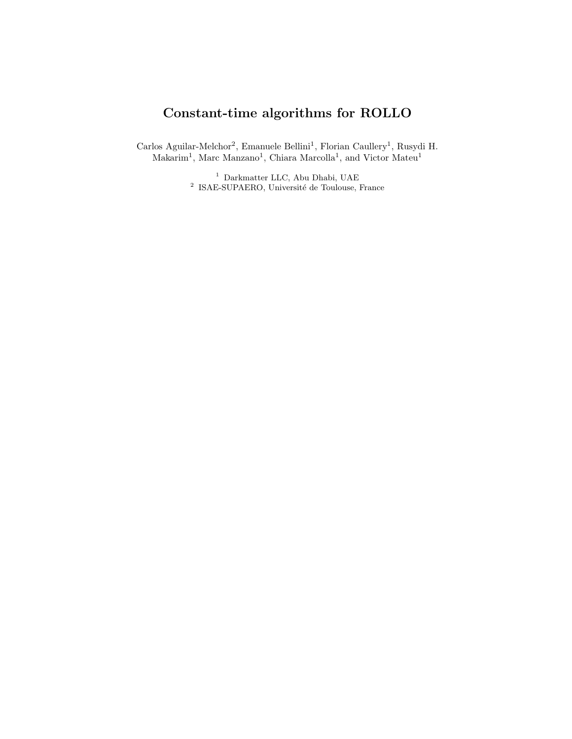# <span id="page-0-0"></span>Constant-time algorithms for ROLLO

Carlos Aguilar-Melchor<sup>2</sup>, Emanuele Bellini<sup>1</sup>, Florian Caullery<sup>1</sup>, Rusydi H. Makarim<sup>1</sup>, Marc Manzano<sup>1</sup>, Chiara Marcolla<sup>1</sup>, and Victor Mateu<sup>1</sup>

> <sup>1</sup> Darkmatter LLC, Abu Dhabi, UAE <sup>2</sup> ISAE-SUPAERO, Université de Toulouse, France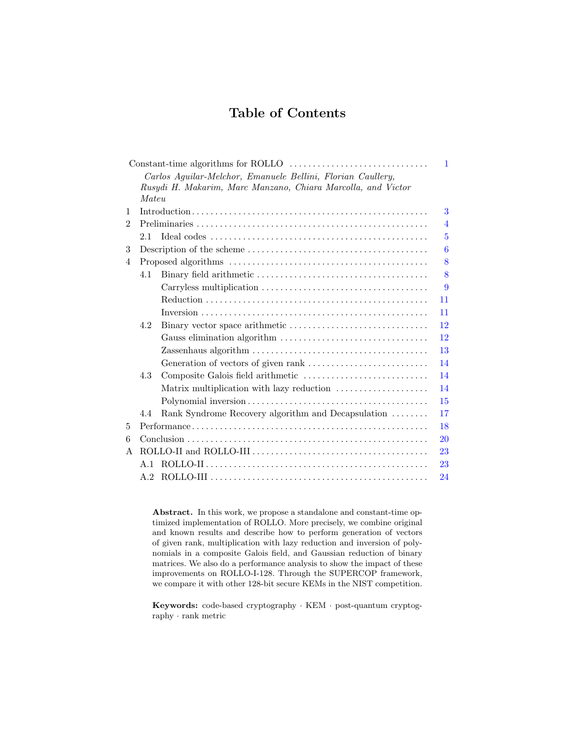## Table of Contents

|                |       |                                                                                            | $\mathbf{1}$   |  |  |  |  |  |  |  |
|----------------|-------|--------------------------------------------------------------------------------------------|----------------|--|--|--|--|--|--|--|
|                |       | Carlos Aguilar-Melchor, Emanuele Bellini, Florian Caullery,                                |                |  |  |  |  |  |  |  |
|                |       | Rusydi H. Makarim, Marc Manzano, Chiara Marcolla, and Victor                               |                |  |  |  |  |  |  |  |
|                | Mateu |                                                                                            |                |  |  |  |  |  |  |  |
| 1              |       |                                                                                            |                |  |  |  |  |  |  |  |
| $\overline{2}$ |       |                                                                                            | $\overline{4}$ |  |  |  |  |  |  |  |
|                | 2.1   |                                                                                            | $\overline{5}$ |  |  |  |  |  |  |  |
| 3              | 6     |                                                                                            |                |  |  |  |  |  |  |  |
| $\overline{4}$ |       |                                                                                            |                |  |  |  |  |  |  |  |
|                | 4.1   |                                                                                            | 8              |  |  |  |  |  |  |  |
|                |       |                                                                                            | 9              |  |  |  |  |  |  |  |
|                |       |                                                                                            | 11             |  |  |  |  |  |  |  |
|                |       |                                                                                            | 11             |  |  |  |  |  |  |  |
|                | 4.2   |                                                                                            | 12             |  |  |  |  |  |  |  |
|                |       | Gauss elimination algorithm $\dots\dots\dots\dots\dots\dots\dots\dots\dots\dots\dots\dots$ | 12             |  |  |  |  |  |  |  |
|                |       |                                                                                            | 13             |  |  |  |  |  |  |  |
|                |       |                                                                                            | 14             |  |  |  |  |  |  |  |
|                | 4.3   |                                                                                            | 14             |  |  |  |  |  |  |  |
|                |       | Matrix multiplication with lazy reduction                                                  | 14             |  |  |  |  |  |  |  |
|                |       |                                                                                            | 15             |  |  |  |  |  |  |  |
|                | 4.4   | Rank Syndrome Recovery algorithm and Decapsulation                                         | 17             |  |  |  |  |  |  |  |
| 5              |       |                                                                                            | 18             |  |  |  |  |  |  |  |
| 6              |       |                                                                                            | 20             |  |  |  |  |  |  |  |
| A              |       |                                                                                            |                |  |  |  |  |  |  |  |
|                |       |                                                                                            | 23             |  |  |  |  |  |  |  |
|                | A.2   |                                                                                            | 24             |  |  |  |  |  |  |  |

Abstract. In this work, we propose a standalone and constant-time optimized implementation of ROLLO. More precisely, we combine original and known results and describe how to perform generation of vectors of given rank, multiplication with lazy reduction and inversion of polynomials in a composite Galois field, and Gaussian reduction of binary improvements on ROLLO-I-128. Through the SUPERCOP framework, we compare it with other 128-bit secure KEMs in the NIST competition. matrices. We also do a performance analysis to show the impact of these

Keywords: code-based cryptography · KEM · post-quantum cryptography · rank metric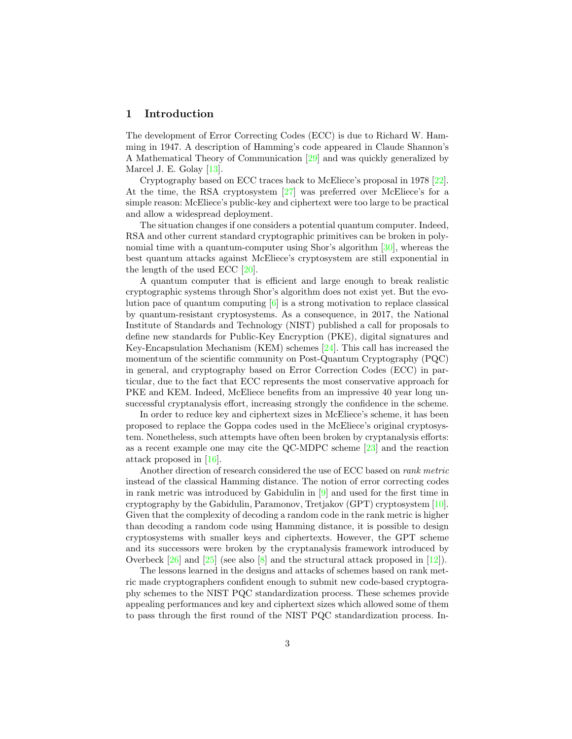#### <span id="page-2-0"></span>1 Introduction

The development of Error Correcting Codes (ECC) is due to Richard W. Hamming in 1947. A description of Hamming's code appeared in Claude Shannon's A Mathematical Theory of Communication [\[29\]](#page-21-0) and was quickly generalized by Marcel J. E. Golay [\[13\]](#page-21-1).

Cryptography based on ECC traces back to McEliece's proposal in 1978 [\[22\]](#page-21-2). At the time, the RSA cryptosystem [\[27\]](#page-21-3) was preferred over McEliece's for a simple reason: McEliece's public-key and ciphertext were too large to be practical and allow a widespread deployment.

The situation changes if one considers a potential quantum computer. Indeed, RSA and other current standard cryptographic primitives can be broken in polynomial time with a quantum-computer using Shor's algorithm [\[30\]](#page-21-4), whereas the best quantum attacks against McEliece's cryptosystem are still exponential in the length of the used ECC  $[20]$ .

A quantum computer that is efficient and large enough to break realistic cryptographic systems through Shor's algorithm does not exist yet. But the evolution pace of quantum computing [\[6\]](#page-20-0) is a strong motivation to replace classical by quantum-resistant cryptosystems. As a consequence, in 2017, the National Institute of Standards and Technology (NIST) published a call for proposals to define new standards for Public-Key Encryption (PKE), digital signatures and Key-Encapsulation Mechanism (KEM) schemes [\[24\]](#page-21-6). This call has increased the momentum of the scientific community on Post-Quantum Cryptography (PQC) in general, and cryptography based on Error Correction Codes (ECC) in particular, due to the fact that ECC represents the most conservative approach for PKE and KEM. Indeed, McEliece benefits from an impressive 40 year long unsuccessful cryptanalysis effort, increasing strongly the confidence in the scheme.

In order to reduce key and ciphertext sizes in McEliece's scheme, it has been proposed to replace the Goppa codes used in the McEliece's original cryptosystem. Nonetheless, such attempts have often been broken by cryptanalysis efforts: as a recent example one may cite the QC-MDPC scheme [\[23\]](#page-21-7) and the reaction attack proposed in [\[16\]](#page-21-8).

Another direction of research considered the use of ECC based on rank metric instead of the classical Hamming distance. The notion of error correcting codes in rank metric was introduced by Gabidulin in [\[9\]](#page-20-1) and used for the first time in cryptography by the Gabidulin, Paramonov, Tretjakov (GPT) cryptosystem [\[10\]](#page-20-2). Given that the complexity of decoding a random code in the rank metric is higher than decoding a random code using Hamming distance, it is possible to design cryptosystems with smaller keys and ciphertexts. However, the GPT scheme and its successors were broken by the cryptanalysis framework introduced by Overbeck [\[26\]](#page-21-9) and [\[25\]](#page-21-10) (see also [\[8\]](#page-20-3) and the structural attack proposed in [\[12\]](#page-20-4)).

The lessons learned in the designs and attacks of schemes based on rank metric made cryptographers confident enough to submit new code-based cryptography schemes to the NIST PQC standardization process. These schemes provide appealing performances and key and ciphertext sizes which allowed some of them to pass through the first round of the NIST PQC standardization process. In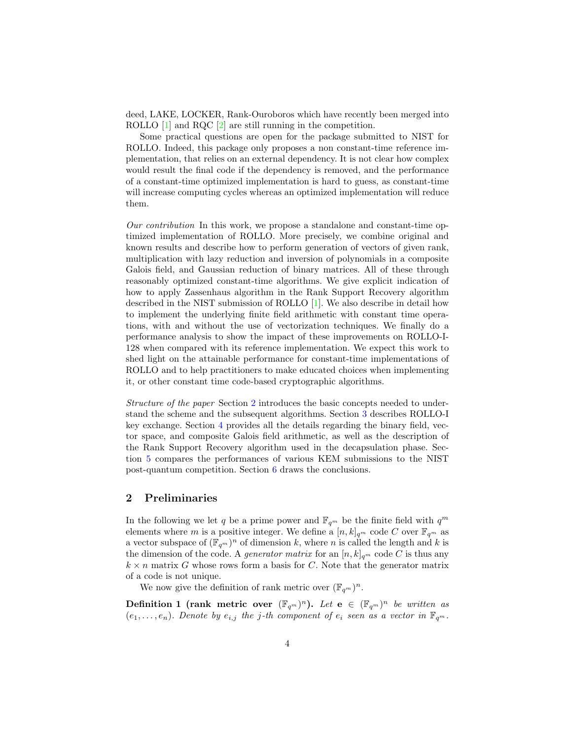deed, LAKE, LOCKER, Rank-Ouroboros which have recently been merged into ROLLO [\[1\]](#page-20-5) and RQC [\[2\]](#page-20-6) are still running in the competition.

Some practical questions are open for the package submitted to NIST for ROLLO. Indeed, this package only proposes a non constant-time reference implementation, that relies on an external dependency. It is not clear how complex would result the final code if the dependency is removed, and the performance of a constant-time optimized implementation is hard to guess, as constant-time will increase computing cycles whereas an optimized implementation will reduce them.

Our contribution In this work, we propose a standalone and constant-time optimized implementation of ROLLO. More precisely, we combine original and known results and describe how to perform generation of vectors of given rank, multiplication with lazy reduction and inversion of polynomials in a composite Galois field, and Gaussian reduction of binary matrices. All of these through reasonably optimized constant-time algorithms. We give explicit indication of how to apply Zassenhaus algorithm in the Rank Support Recovery algorithm described in the NIST submission of ROLLO [\[1\]](#page-20-5). We also describe in detail how to implement the underlying finite field arithmetic with constant time operations, with and without the use of vectorization techniques. We finally do a performance analysis to show the impact of these improvements on ROLLO-I-128 when compared with its reference implementation. We expect this work to shed light on the attainable performance for constant-time implementations of ROLLO and to help practitioners to make educated choices when implementing it, or other constant time code-based cryptographic algorithms.

Structure of the paper Section [2](#page-3-0) introduces the basic concepts needed to understand the scheme and the subsequent algorithms. Section [3](#page-5-0) describes ROLLO-I key exchange. Section [4](#page-7-0) provides all the details regarding the binary field, vector space, and composite Galois field arithmetic, as well as the description of the Rank Support Recovery algorithm used in the decapsulation phase. Section [5](#page-17-0) compares the performances of various KEM submissions to the NIST post-quantum competition. Section [6](#page-19-0) draws the conclusions.

## <span id="page-3-0"></span>2 Preliminaries

In the following we let q be a prime power and  $\mathbb{F}_{q^m}$  be the finite field with  $q^m$ elements where m is a positive integer. We define a  $[n, k]_{q^m}$  code C over  $\mathbb{F}_{q^m}$  as a vector subspace of  $(\mathbb{F}_{q^m})^n$  of dimension k, where n is called the length and k is the dimension of the code. A *generator matrix* for an  $[n, k]_{q^m}$  code C is thus any  $k \times n$  matrix G whose rows form a basis for C. Note that the generator matrix of a code is not unique.

We now give the definition of rank metric over  $(\mathbb{F}_{q^m})^n$ .

**Definition 1 (rank metric over**  $(\mathbb{F}_{q^m})^n$ ). Let  $e \in (\mathbb{F}_{q^m})^n$  be written as  $(e_1, \ldots, e_n)$ . Denote by  $e_{i,j}$  the j-th component of  $e_i$  seen as a vector in  $\mathbb{F}_{q^m}$ .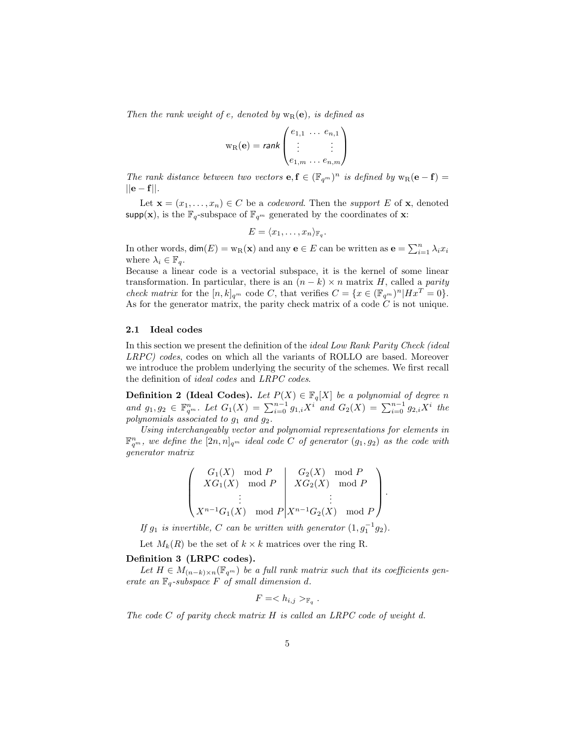Then the rank weight of e, denoted by  $w_R(e)$ , is defined as

$$
w_{R}(e) = rank \begin{pmatrix} e_{1,1} & \dots & e_{n,1} \\ \vdots & & \vdots \\ e_{1,m} & \dots & e_{n,m} \end{pmatrix}
$$

The rank distance between two vectors  $e, f \in (\mathbb{F}_{q^m})^n$  is defined by  $w_R(e - f) =$  $||e - f||$ .

Let  $\mathbf{x} = (x_1, \dots, x_n) \in C$  be a *codeword*. Then the *support* E of **x**, denoted supp(x), is the  $\mathbb{F}_q$ -subspace of  $\mathbb{F}_{q^m}$  generated by the coordinates of **x**:

$$
E = \langle x_1, \ldots, x_n \rangle_{\mathbb{F}_q}.
$$

In other words,  $\dim(E) = w_R(\mathbf{x})$  and any  $\mathbf{e} \in E$  can be written as  $\mathbf{e} = \sum_{i=1}^n \lambda_i x_i$ where  $\lambda_i \in \mathbb{F}_q$ .

Because a linear code is a vectorial subspace, it is the kernel of some linear transformation. In particular, there is an  $(n - k) \times n$  matrix H, called a parity check matrix for the  $[n, k]_{q^m}$  code C, that verifies  $C = \{x \in (\mathbb{F}_{q^m})^n | Hx^T = 0\}.$ As for the generator matrix, the parity check matrix of a code  $\tilde{C}$  is not unique.

#### <span id="page-4-0"></span>2.1 Ideal codes

In this section we present the definition of the ideal Low Rank Parity Check (ideal LRPC) codes, codes on which all the variants of ROLLO are based. Moreover we introduce the problem underlying the security of the schemes. We first recall the definition of ideal codes and LRPC codes.

**Definition 2 (Ideal Codes).** Let  $P(X) \in \mathbb{F}_q[X]$  be a polynomial of degree n and  $g_1, g_2 \in \mathbb{F}_q^n$ . Let  $G_1(X) = \sum_{i=0}^{n-1} g_{1,i}X^i$  and  $G_2(X) = \sum_{i=0}^{n-1} g_{2,i}X^i$  the polynomials associated to  $g_1$  and  $g_2$ .

Using interchangeably vector and polynomial representations for elements in  $\mathbb{F}_{q^m}^n$ , we define the  $[2n, n]_{q^m}$  ideal code C of generator  $(g_1, g_2)$  as the code with generator matrix

$$
\left(\begin{array}{ccc} G_1(X) \mod P & G_2(X) \mod P \\ XG_1(X) \mod P & XG_2(X) \mod P \\ \vdots & & \vdots \\ X^{n-1}G_1(X) \mod P & X^{n-1}G_2(X) \mod P \end{array}\right).
$$

If  $g_1$  is invertible, C can be written with generator  $(1, g_1^{-1}g_2)$ .

Let  $M_k(R)$  be the set of  $k \times k$  matrices over the ring R.

#### Definition 3 (LRPC codes).

Let  $H \in M_{(n-k)\times n}(\mathbb{F}_{q^m})$  be a full rank matrix such that its coefficients generate an  $\mathbb{F}_q$ -subspace F of small dimension d.

$$
F = _{\mathbb{F}_q}.
$$

The code  $C$  of parity check matrix  $H$  is called an LRPC code of weight d.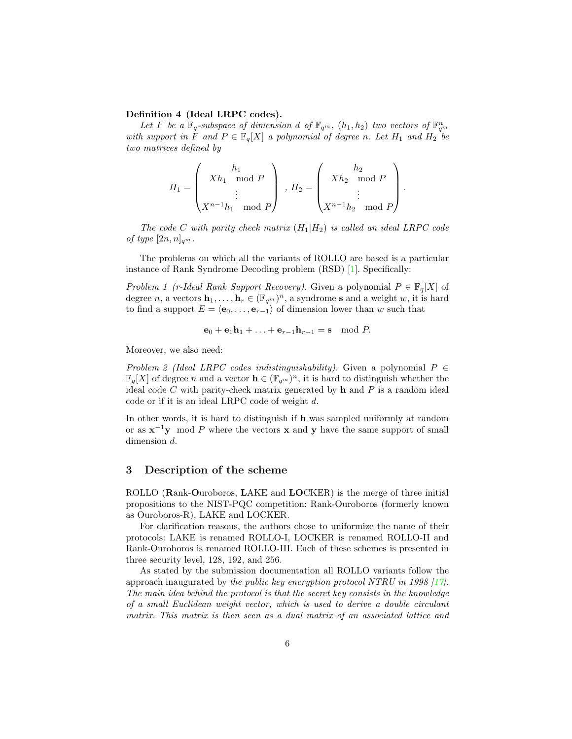#### Definition 4 (Ideal LRPC codes).

Let F be a  $\mathbb{F}_q$ -subspace of dimension d of  $\mathbb{F}_{q^m}$ ,  $(h_1, h_2)$  two vectors of  $\mathbb{F}_{q^m}^n$ with support in F and  $P \in \mathbb{F}_q[X]$  a polynomial of degree n. Let  $H_1$  and  $H_2$  be two matrices defined by

$$
H_1 = \begin{pmatrix} h_1 \\ Xh_1 \mod P \\ \vdots \\ X^{n-1}h_1 \mod P \end{pmatrix}, H_2 = \begin{pmatrix} h_2 \\ Xh_2 \mod P \\ \vdots \\ X^{n-1}h_2 \mod P \end{pmatrix}.
$$

The code C with parity check matrix  $(H_1|H_2)$  is called an ideal LRPC code of type  $[2n, n]_{q^m}$ .

The problems on which all the variants of ROLLO are based is a particular instance of Rank Syndrome Decoding problem (RSD) [\[1\]](#page-20-5). Specifically:

Problem 1 (r-Ideal Rank Support Recovery). Given a polynomial  $P \in \mathbb{F}_q[X]$  of degree n, a vectors  $\mathbf{h}_1, \ldots, \mathbf{h}_r \in (\mathbb{F}_{q^m})^n$ , a syndrome s and a weight w, it is hard to find a support  $E = \langle e_0, \ldots, e_{r-1} \rangle$  of dimension lower than w such that

$$
\mathbf{e}_0 + \mathbf{e}_1 \mathbf{h}_1 + \ldots + \mathbf{e}_{r-1} \mathbf{h}_{r-1} = \mathbf{s} \mod P.
$$

Moreover, we also need:

Problem 2 (Ideal LRPC codes indistinguishability). Given a polynomial  $P \in$  $\mathbb{F}_q[X]$  of degree n and a vector  $\mathbf{h} \in (\mathbb{F}_{q^m})^n$ , it is hard to distinguish whether the ideal code  $C$  with parity-check matrix generated by  $h$  and  $P$  is a random ideal code or if it is an ideal LRPC code of weight d.

In other words, it is hard to distinguish if h was sampled uniformly at random or as  $x^{-1}y \mod P$  where the vectors x and y have the same support of small dimension d.

#### <span id="page-5-0"></span>3 Description of the scheme

ROLLO (Rank-Ouroboros, LAKE and LOCKER) is the merge of three initial propositions to the NIST-PQC competition: Rank-Ouroboros (formerly known as Ouroboros-R), LAKE and LOCKER.

For clarification reasons, the authors chose to uniformize the name of their protocols: LAKE is renamed ROLLO-I, LOCKER is renamed ROLLO-II and Rank-Ouroboros is renamed ROLLO-III. Each of these schemes is presented in three security level, 128, 192, and 256.

As stated by the submission documentation all ROLLO variants follow the approach inaugurated by the public key encryption protocol NTRU in 1998  $[17]$ . The main idea behind the protocol is that the secret key consists in the knowledge of a small Euclidean weight vector, which is used to derive a double circulant matrix. This matrix is then seen as a dual matrix of an associated lattice and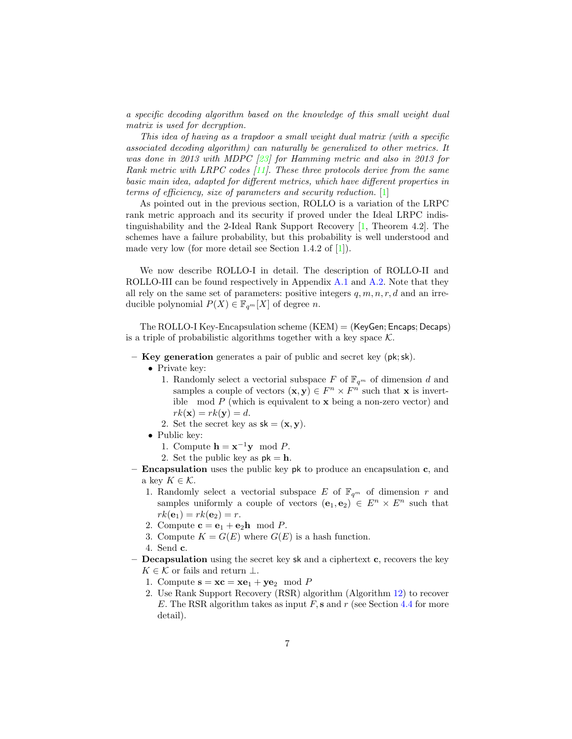a specific decoding algorithm based on the knowledge of this small weight dual matrix is used for decryption.

This idea of having as a trapdoor a small weight dual matrix (with a specific associated decoding algorithm) can naturally be generalized to other metrics. It was done in 2013 with MDPC [\[23\]](#page-21-7) for Hamming metric and also in 2013 for Rank metric with LRPC codes [\[11\]](#page-20-7). These three protocols derive from the same basic main idea, adapted for different metrics, which have different properties in terms of efficiency, size of parameters and security reduction. [\[1\]](#page-20-5)

As pointed out in the previous section, ROLLO is a variation of the LRPC rank metric approach and its security if proved under the Ideal LRPC indistinguishability and the 2-Ideal Rank Support Recovery [\[1,](#page-20-5) Theorem 4.2]. The schemes have a failure probability, but this probability is well understood and made very low (for more detail see Section 1.4.2 of [\[1\]](#page-20-5)).

We now describe ROLLO-I in detail. The description of ROLLO-II and ROLLO-III can be found respectively in Appendix [A.1](#page-22-1) and [A.2.](#page-23-0) Note that they all rely on the same set of parameters: positive integers  $q, m, n, r, d$  and an irreducible polynomial  $P(X) \in \mathbb{F}_{q^m}[X]$  of degree n.

The ROLLO-I Key-Encapsulation scheme (KEM) = (KeyGen; Encaps; Decaps) is a triple of probabilistic algorithms together with a key space  $K$ .

- Key generation generates a pair of public and secret key  $(\mathsf{pk}; \mathsf{sk})$ .
	- Private key:
		- 1. Randomly select a vectorial subspace F of  $\mathbb{F}_{q^m}$  of dimension d and samples a couple of vectors  $(\mathbf{x}, \mathbf{y}) \in F^n \times F^n$  such that **x** is invertible mod  $P$  (which is equivalent to  $\bf{x}$  being a non-zero vector) and  $rk(\mathbf{x}) = rk(\mathbf{y}) = d.$
		- 2. Set the secret key as  $sk = (\mathbf{x}, \mathbf{y})$ .
	- Public key:
		- 1. Compute  $\mathbf{h} = \mathbf{x}^{-1} \mathbf{y} \mod P$ .
		- 2. Set the public key as  $pk = h$ .
- $-$  **Encapsulation** uses the public key pk to produce an encapsulation c, and a key  $K \in \mathcal{K}$ .
	- 1. Randomly select a vectorial subspace E of  $\mathbb{F}_{q^m}$  of dimension r and samples uniformly a couple of vectors  $(e_1, e_2) \in E^n \times E^n$  such that  $rk(\mathbf{e}_1) = rk(\mathbf{e}_2) = r.$
	- 2. Compute  $\mathbf{c} = \mathbf{e}_1 + \mathbf{e}_2 \mathbf{h} \mod P$ .
	- 3. Compute  $K = G(E)$  where  $G(E)$  is a hash function.
	- 4. Send c.
- **Decapsulation** using the secret key sk and a ciphertext  $c$ , recovers the key  $K \in \mathcal{K}$  or fails and return  $\perp$ .
	- 1. Compute  $\mathbf{s} = \mathbf{xc} = \mathbf{xe}_1 + \mathbf{ye}_2 \mod P$
	- 2. Use Rank Support Recovery (RSR) algorithm (Algorithm [12\)](#page-18-0) to recover E. The RSR algorithm takes as input  $F$ , s and r (see Section [4.4](#page-16-0) for more detail).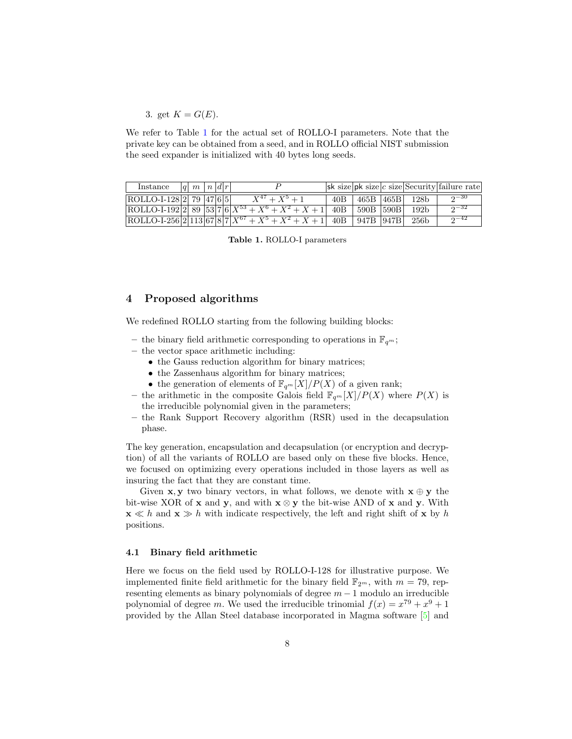3. get  $K = G(E)$ .

We refer to Table [1](#page-7-2) for the actual set of ROLLO-I parameters. Note that the private key can be obtained from a seed, and in ROLLO official NIST submission the seed expander is initialized with 40 bytes long seeds.

<span id="page-7-2"></span>

| Instance                   | $ q $ $m$ $ n $ $d r $ |  |                                                                                                      |       |             |                  | $ \mathsf{sk}\text{ size} $ pk size $ c\text{ size} $ Security failure rate |
|----------------------------|------------------------|--|------------------------------------------------------------------------------------------------------|-------|-------------|------------------|-----------------------------------------------------------------------------|
| $ ROLLO-I-128 2 79 47 65 $ |                        |  | $X^{47} + X^5 + 1$                                                                                   | 40B - | 465B   465B | 128 <sub>b</sub> | $2^{-30}$                                                                   |
|                            |                        |  | ROLLO-I-192 2 89 53 7 6 $X^{53} + X^6 + X^2 + X + 1$ 40B                                             |       | 590B 590B   | 192 <sub>b</sub> | $2^{-32}$                                                                   |
|                            |                        |  | $\overline{\text{ROLLO-I-256}\left[2\right]113\left[67\right]8\left[7\right]X^{67}+X^5+X^2}+X+1$ 40B |       | 947B   947B | 256 <sub>b</sub> | $2^{-42}$                                                                   |

Table 1. ROLLO-I parameters

## <span id="page-7-0"></span>4 Proposed algorithms

We redefined ROLLO starting from the following building blocks:

- the binary field arithmetic corresponding to operations in  $\mathbb{F}_{q^m}$ ;
- the vector space arithmetic including:
	- the Gauss reduction algorithm for binary matrices;
	- the Zassenhaus algorithm for binary matrices;
	- the generation of elements of  $\mathbb{F}_{q^m}[X]/P(X)$  of a given rank;
- the arithmetic in the composite Galois field  $\mathbb{F}_{q^m}[X]/P(X)$  where  $P(X)$  is the irreducible polynomial given in the parameters;
- the Rank Support Recovery algorithm (RSR) used in the decapsulation phase.

The key generation, encapsulation and decapsulation (or encryption and decryption) of all the variants of ROLLO are based only on these five blocks. Hence, we focused on optimizing every operations included in those layers as well as insuring the fact that they are constant time.

Given  $x, y$  two binary vectors, in what follows, we denote with  $x \oplus y$  the bit-wise XOR of x and y, and with  $x \otimes y$  the bit-wise AND of x and y. With  $\mathbf{x} \ll h$  and  $\mathbf{x} \gg h$  with indicate respectively, the left and right shift of x by h positions.

#### <span id="page-7-1"></span>4.1 Binary field arithmetic

Here we focus on the field used by ROLLO-I-128 for illustrative purpose. We implemented finite field arithmetic for the binary field  $\mathbb{F}_{2^m}$ , with  $m = 79$ , representing elements as binary polynomials of degree  $m - 1$  modulo an irreducible polynomial of degree m. We used the irreducible trinomial  $f(x) = x^{79} + x^9 + 1$ provided by the Allan Steel database incorporated in Magma software [\[5\]](#page-20-8) and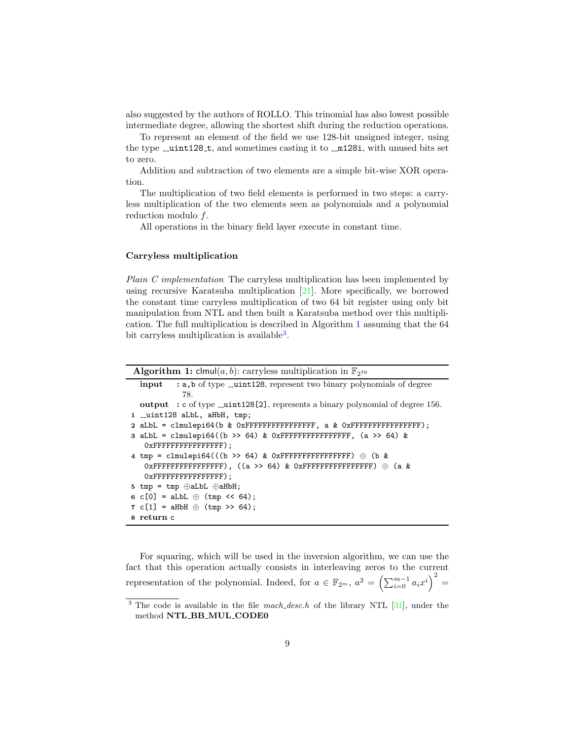also suggested by the authors of ROLLO. This trinomial has also lowest possible intermediate degree, allowing the shortest shift during the reduction operations.

To represent an element of the field we use 128-bit unsigned integer, using the type  $\text{\_}unit128 \text{-} t$ , and sometimes casting it to  $\text{\_}mil28i$ , with unused bits set to zero.

Addition and subtraction of two elements are a simple bit-wise XOR operation.

The multiplication of two field elements is performed in two steps: a carryless multiplication of the two elements seen as polynomials and a polynomial reduction modulo f.

All operations in the binary field layer execute in constant time.

#### <span id="page-8-0"></span>Carryless multiplication

Plain C implementation The carryless multiplication has been implemented by using recursive Karatsuba multiplication [\[21\]](#page-21-12). More specifically, we borrowed the constant time carryless multiplication of two 64 bit register using only bit manipulation from NTL and then built a Karatsuba method over this multiplication. The full multiplication is described in Algorithm [1](#page-8-1) assuming that the 64 bit carryless multiplication is available<sup>[3](#page-8-2)</sup>.

**Algorithm 1:** clmul(*a, b*): carryless multiplication in  $\mathbb{F}_{2^{79}}$ 

```
input : a,b of type __uint128, represent two binary polynomials of degree
             78.
  output : c of type \text{\_}unit128[2], represents a binary polynomial of degree 156.
1 __uint128 aLbL, aHbH, tmp;
2 aLbL = clmulepi64(b & 0xFFFFFFFFFFFFFFFF, a & 0xFFFFFFFFFFFFFFFF);
3 aLbL = clmulepi64((b >> 64) & OxFFFFFFFFFFFFFFFFF, (a >> 64) &
   0xFFFFFFFFFFFFFFFF);
4 tmp = clmulepi64(((b >> 64) & 0xFFFFFFFFFFFFFFFFFFFFF \theta (b &
   0xFFFFFFFFFFFFFFFF), ((a >> 64) & 0xFFFFFFFFFFFFFFFF) ⊕ (a &
   0xFFFFFFFFFFFFFFFF);
5 tmp = tmp ⊕aLbL ⊕aHbH;
6 c[0] = aLbL \oplus (tmp << 64);
7 c[1] = aHbH \oplus (tmp >> 64);8 return c
```
<span id="page-8-1"></span>For squaring, which will be used in the inversion algorithm, we can use the fact that this operation actually consists in interleaving zeros to the current representation of the polynomial. Indeed, for  $a \in \mathbb{F}_{2^m}$ ,  $a^2 = \left(\sum_{i=0}^{m-1} a_i x^i\right)^2$ 

<span id="page-8-2"></span><sup>&</sup>lt;sup>3</sup> The code is available in the file mach desc.h of the library NTL  $[31]$ , under the method NTL BB MUL CODE0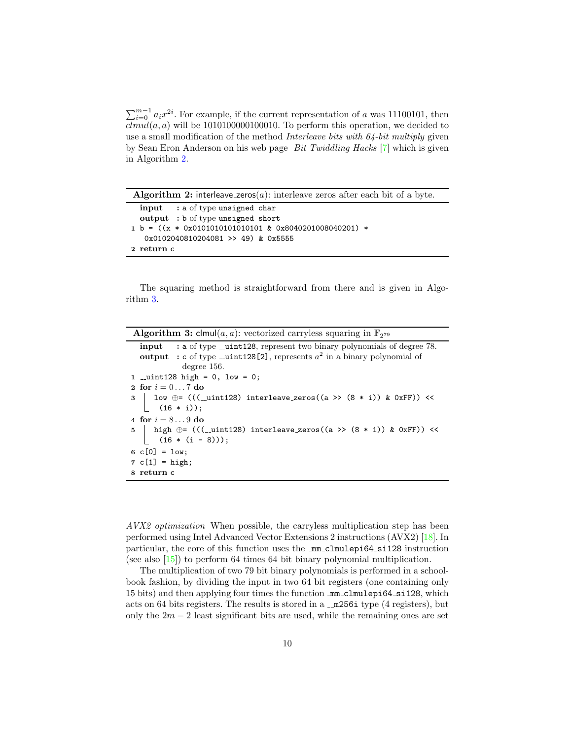$\sum_{i=0}^{m-1} a_i x^{2i}$ . For example, if the current representation of a was 11100101, then  $clmul(a,a)$  will be 1010100000100010. To perform this operation, we decided to use a small modification of the method Interleave bits with 64-bit multiply given by Sean Eron Anderson on his web page Bit Twiddling Hacks [\[7\]](#page-20-9) which is given in Algorithm [2.](#page-9-0)

| <b>Algorithm 2:</b> interleave_zeros( $a$ ): interleave zeros after each bit of a byte. |  |  |  |  |  |  |  |  |
|-----------------------------------------------------------------------------------------|--|--|--|--|--|--|--|--|
| $input$ : a of type unsigned char                                                       |  |  |  |  |  |  |  |  |
| output : b of type unsigned short                                                       |  |  |  |  |  |  |  |  |
| $1 b = ((x * 0x0101010101010101 & 0x8040201008040201) *$                                |  |  |  |  |  |  |  |  |
| 0x0102040810204081 >> 49) & 0x5555                                                      |  |  |  |  |  |  |  |  |
| 2 return c                                                                              |  |  |  |  |  |  |  |  |

<span id="page-9-0"></span>The squaring method is straightforward from there and is given in Algorithm [3.](#page-9-1)

| <b>Algorithm 3:</b> clmul( <i>a, a</i> ): vectorized carryless squaring in $\mathbb{F}_{2^{79}}$ |  |  |  |  |  |  |  |
|--------------------------------------------------------------------------------------------------|--|--|--|--|--|--|--|
| <b>input</b> : a of type __uint128, represent two binary polynomials of degree 78.               |  |  |  |  |  |  |  |
| <b>output</b> : c of type _ <b>uint128[2]</b> , represents $a^2$ in a binary polynomial of       |  |  |  |  |  |  |  |
| degree 156.                                                                                      |  |  |  |  |  |  |  |
| 1 __uint128 high = $0$ , low = 0;                                                                |  |  |  |  |  |  |  |
| 2 for $i = 07$ do                                                                                |  |  |  |  |  |  |  |
| 3   low $\oplus = (((\_uint128)$ interleave_zeros((a >> (8 * i)) & 0xFF)) <<                     |  |  |  |  |  |  |  |
| $(16 * i));$                                                                                     |  |  |  |  |  |  |  |
| 4 for $i = 89$ do                                                                                |  |  |  |  |  |  |  |
| 5   high $\oplus$ = (((__uint128) interleave_zeros((a >> (8 * i)) & 0xFF)) <<                    |  |  |  |  |  |  |  |
| $(16 * (i - 8))$ ;                                                                               |  |  |  |  |  |  |  |
| $6 \text{ } c[0] = \text{low};$                                                                  |  |  |  |  |  |  |  |
| $7 c[1] = high;$                                                                                 |  |  |  |  |  |  |  |
| 8 return c                                                                                       |  |  |  |  |  |  |  |

<span id="page-9-1"></span>AVX2 optimization When possible, the carryless multiplication step has been performed using Intel Advanced Vector Extensions 2 instructions (AVX2) [\[18\]](#page-21-14). In particular, the core of this function uses the **mm**\_clmulepi64\_si128 instruction (see also [\[15\]](#page-21-15)) to perform 64 times 64 bit binary polynomial multiplication.

The multiplication of two 79 bit binary polynomials is performed in a schoolbook fashion, by dividing the input in two 64 bit registers (one containing only 15 bits) and then applying four times the function mm clmulepi64 si128, which acts on 64 bits registers. The results is stored in a  $\text{\textendash}256i$  type (4 registers), but only the  $2m - 2$  least significant bits are used, while the remaining ones are set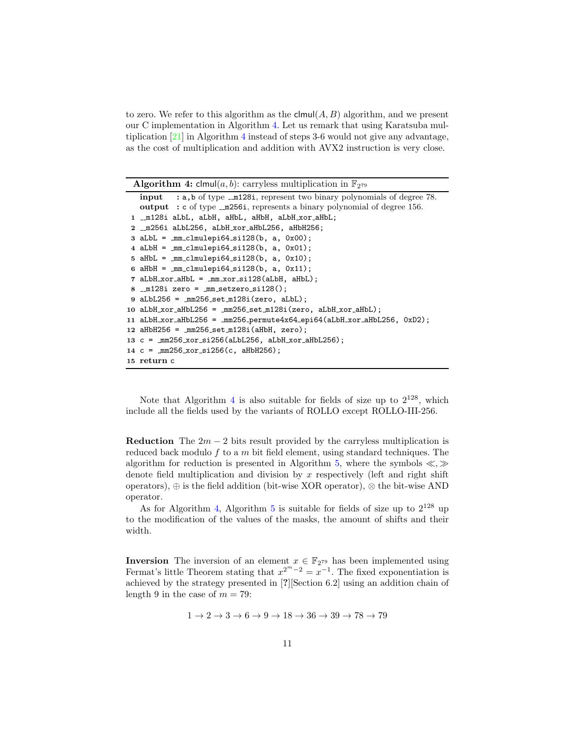to zero. We refer to this algorithm as the  $\mathsf{clmul}(A, B)$  algorithm, and we present our C implementation in Algorithm [4.](#page-10-2) Let us remark that using Karatsuba multiplication [\[21\]](#page-21-12) in Algorithm [4](#page-10-2) instead of steps 3-6 would not give any advantage, as the cost of multiplication and addition with AVX2 instruction is very close.

**Algorithm 4:** clmul(*a*, *b*): carryless multiplication in  $\mathbb{F}_{2^{79}}$ 

```
input : a,b of type \text{\_m128i}, represent two binary polynomials of degree 78.
   output : c of type \text{\textendash} represents a binary polynomial of degree 156.
 1 _m128i aLbL, aLbH, aHbL, aHbH, aLbH_xor_aHbL;
 2 m256i aLbL256, aLbH xor aHbL256, aHbH256;
 3 aLbL = mm_c1mulepi64_sii128(b, a, 0x00);4 aLbH = mm clmulepi64 si128(b, a, 0x01);
 5 aHbL = mm-clmulepi64-si128(b, a, 0x10);
 6 aHbH = mm-clmulepi64-si128(b, a, 0x11);
 7 aLbH_xor_aHbL = mm_xor_si128(aLbH, aHbL);
 8 \text{\_m128i} zero = \text{\_mm\_setzero\_si128}();
 9 aLbL256 = mm256-setm128i(zero, aLbL);
10 aLbH_xor_aHbL256 = mm256_setm128i(zero, aLbH_xor_aHbL);
11 aLbH xor aHbL256 = mm256 permute4x64 epi64(aLbH xor aHbL256, 0xD2);
12 aHbH256 = mm256 set m128i(aHbH, zero);
13 c = mm256 xor si256(aLbL256, aLbH xor aHbL256);
14 c = mm256 x or_s i256(c, athH256);15 return c
```
<span id="page-10-2"></span>Note that Algorithm [4](#page-10-2) is also suitable for fields of size up to  $2^{128}$ , which include all the fields used by the variants of ROLLO except ROLLO-III-256.

<span id="page-10-0"></span>Reduction The  $2m - 2$  bits result provided by the carryless multiplication is reduced back modulo f to a m bit field element, using standard techniques. The algorithm for reduction is presented in Algorithm [5,](#page-11-2) where the symbols  $\ll, \gg$ denote field multiplication and division by x respectively (left and right shift operators),  $\oplus$  is the field addition (bit-wise XOR operator),  $\otimes$  the bit-wise AND operator.

As for Algorithm [4,](#page-10-2) Algorithm [5](#page-11-2) is suitable for fields of size up to  $2^{128}$  up to the modification of the values of the masks, the amount of shifts and their width.

<span id="page-10-1"></span>**Inversion** The inversion of an element  $x \in \mathbb{F}_{279}$  has been implemented using Fermat's little Theorem stating that  $x^{2^m-2} = x^{-1}$ . The fixed exponentiation is achieved by the strategy presented in [?][Section 6.2] using an addition chain of length 9 in the case of  $m = 79$ :

$$
1\rightarrow2\rightarrow3\rightarrow6\rightarrow9\rightarrow18\rightarrow36\rightarrow39\rightarrow78\rightarrow79
$$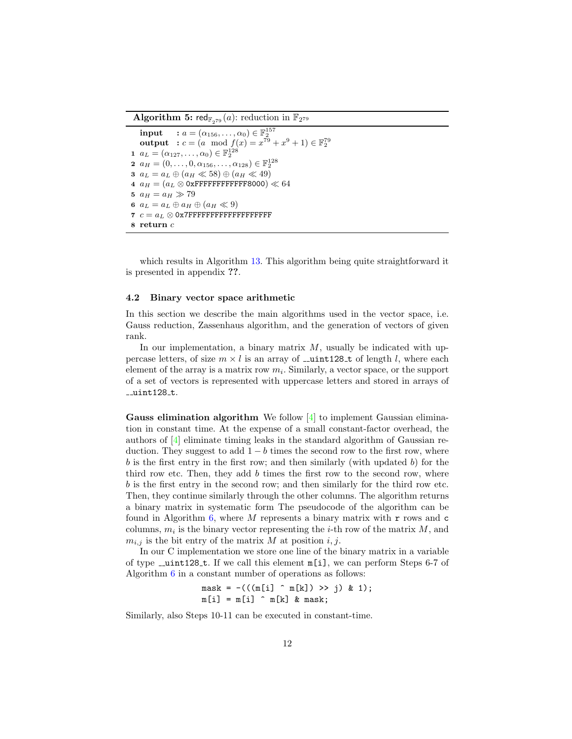**Algorithm 5:** red $_{\mathbb{F}_{279}}(a)$ : reduction in  $\mathbb{F}_{2^{79}}$ 

```
input : a = (\alpha_{156}, \ldots, \alpha_0) \in \mathbb{F}_2^{157}output : c = (a \mod f(x)) = x^{79} + x^9 + 1 \in \mathbb{F}_2^{79}1 a_L = (\alpha_{127}, \ldots, \alpha_0) \in \mathbb{F}_2^{128}2 a_H = (0, \ldots, 0, \alpha_{156}, \ldots, \alpha_{128}) \in \mathbb{F}_2^{128}3 a_L = a_L \oplus (a_H \ll 58) \oplus (a_H \ll 49)4 a_H = (a_L \otimes 0 \times \text{FFFFFFFFFFFF} 8000) \ll 645 a_H = a_H \gg 796 a_L = a_L \oplus a_H \oplus (a_H \ll 9)7 c = a_L \otimes 0x7FFFFFFFFFFFFFFFFFFFFF
8 return c
```
<span id="page-11-2"></span>which results in Algorithm [13.](#page-24-0) This algorithm being quite straightforward it is presented in appendix ??.

#### <span id="page-11-0"></span>4.2 Binary vector space arithmetic

In this section we describe the main algorithms used in the vector space, i.e. Gauss reduction, Zassenhaus algorithm, and the generation of vectors of given rank.

In our implementation, a binary matrix  $M$ , usually be indicated with uppercase letters, of size  $m \times l$  is an array of  $\text{\_}unit128 \text{-} t$  of length l, where each element of the array is a matrix row  $m_i$ . Similarly, a vector space, or the support of a set of vectors is represented with uppercase letters and stored in arrays of  $_l$ uint $128$ <sub>-t.</sub>

<span id="page-11-1"></span>**Gauss elimination algorithm** We follow  $[4]$  to implement Gaussian elimination in constant time. At the expense of a small constant-factor overhead, the authors of [\[4\]](#page-20-10) eliminate timing leaks in the standard algorithm of Gaussian reduction. They suggest to add  $1 - b$  times the second row to the first row, where  $b$  is the first entry in the first row; and then similarly (with updated  $b$ ) for the third row etc. Then, they add  $b$  times the first row to the second row, where b is the first entry in the second row; and then similarly for the third row etc. Then, they continue similarly through the other columns. The algorithm returns a binary matrix in systematic form The pseudocode of the algorithm can be found in Algorithm [6,](#page-12-1) where  $M$  represents a binary matrix with  $r$  rows and  $c$ columns,  $m_i$  is the binary vector representing the *i*-th row of the matrix  $M$ , and  $m_{i,j}$  is the bit entry of the matrix M at position i, j.

In our C implementation we store one line of the binary matrix in a variable of type  $\text{\_}unit128 \text{-} t$ . If we call this element  $\text{m}[i]$ , we can perform Steps 6-7 of Algorithm [6](#page-12-1) in a constant number of operations as follows:

$$
\begin{array}{l}\n\text{mask} = -(((\text{m[i]} \ \hat{\ } \text{m[k]}) \ \text{> j}) \ \& 1);\n\text{m[i]} = \text{m[i]} \ \hat{\ } \text{m[k]} \ \& \text{mask};\n\end{array}
$$

Similarly, also Steps 10-11 can be executed in constant-time.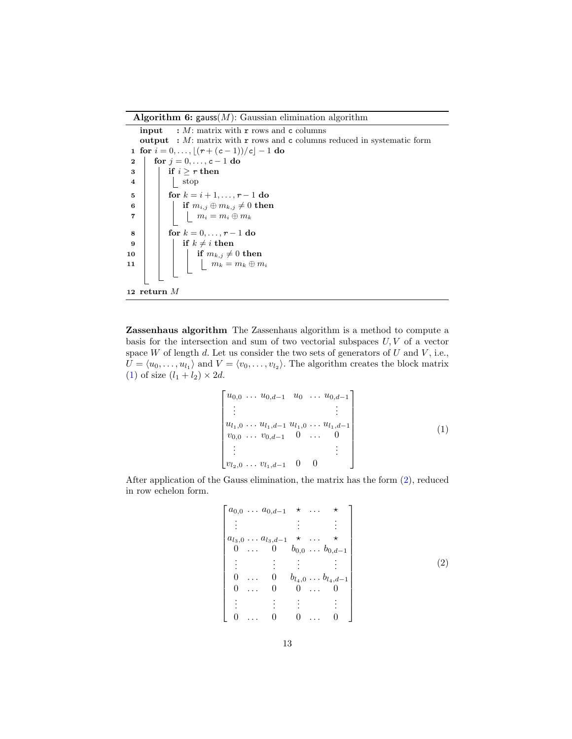Algorithm 6: gauss $(M)$ : Gaussian elimination algorithm

**input** :  $M$ : matrix with  $r$  rows and c columns output :  $M$ : matrix with  $r$  rows and  $c$  columns reduced in systematic form 1 for  $i = 0, ..., \lfloor (r + (c - 1))/c \rfloor - 1$  do 2 | for  $j = 0, ..., c - 1$  do  $3 \mid \cdot \mid$  if  $i \geq r$  then  $4 \mid \cdot \mid \cdot \mid$  stop 5 | for  $k = i + 1, ..., r - 1$  do 6 if  $m_{i,j} \oplus m_{k,j} \neq 0$  then 7 | | |  $m_i = m_i \oplus m_k$ 8 | for  $k = 0, ..., r - 1$  do 9 | | if  $k \neq i$  then 10 | | | if  $m_{k,j} \neq 0$  then 11 | | |  $m_k = m_k \oplus m_i$ 12 return M

<span id="page-12-1"></span><span id="page-12-0"></span>Zassenhaus algorithm The Zassenhaus algorithm is a method to compute a basis for the intersection and sum of two vectorial subspaces  $U, V$  of a vector space W of length d. Let us consider the two sets of generators of  $U$  and  $V$ , i.e.,  $U = \langle u_0, \ldots, u_{l_1} \rangle$  and  $V = \langle v_0, \ldots, v_{l_2} \rangle$ . The algorithm creates the block matrix [\(1\)](#page-12-2) of size  $(l_1 + l_2) \times 2d$ .

<span id="page-12-2"></span>
$$
\begin{bmatrix} u_{0,0} & \cdots & u_{0,d-1} & u_0 & \cdots & u_{0,d-1} \\ \vdots & & & & \vdots \\ u_{l_1,0} & \cdots & u_{l_1,d-1} & u_{l_1,0} & \cdots & u_{l_1,d-1} \\ v_{0,0} & \cdots & v_{0,d-1} & 0 & \cdots & 0 \\ \vdots & & & & \vdots \\ v_{l_2,0} & \cdots & v_{l_1,d-1} & 0 & 0 \end{bmatrix} \tag{1}
$$

After application of the Gauss elimination, the matrix has the form [\(2\)](#page-12-3), reduced in row echelon form.

<span id="page-12-3"></span>
$$
\begin{bmatrix}\na_{0,0} \cdots a_{0,d-1} & \star & \cdots & \star \\
\vdots & & \vdots & & \vdots \\
a_{l_3,0} \cdots a_{l_3,d-1} & \star & \cdots & \star \\
0 & \cdots & 0 & b_{0,0} \cdots b_{0,d-1} \\
\vdots & & \vdots & \vdots & & \vdots \\
0 & \cdots & 0 & b_{l_4,0} \cdots b_{l_4,d-1} \\
0 & \cdots & 0 & 0 \cdots & 0 \\
\vdots & & \vdots & \vdots & & \vdots \\
0 & \cdots & 0 & 0 \cdots & 0\n\end{bmatrix}
$$
\n(2)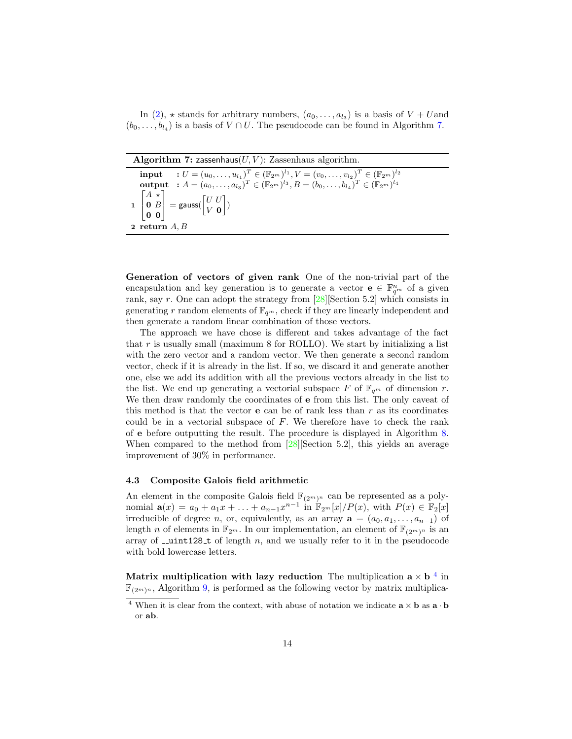In [\(2\)](#page-12-3),  $\star$  stands for arbitrary numbers,  $(a_0, \ldots, a_{l_3})$  is a basis of  $V + U$ and  $(b_0, \ldots, b_{l_4})$  is a basis of  $V \cap U$ . The pseudocode can be found in Algorithm [7.](#page-13-3)

| Algorithm 7: zassenhaus $(U, V)$ : Zassenhaus algorithm.                                                                                                                                                                                                            |
|---------------------------------------------------------------------------------------------------------------------------------------------------------------------------------------------------------------------------------------------------------------------|
| <b>input</b> : $U = (u_0, \ldots, u_{l_1})^T \in (\mathbb{F}_{2^m})^{l_1}, V = (v_0, \ldots, v_{l_2})^T \in (\mathbb{F}_{2^m})^{l_2}$<br><b>output</b> : $A = (a_0, , a_{l_3})^T \in (\mathbb{F}_{2^m})^{l_3}, B = (b_0, , b_{l_3})^T \in (\mathbb{F}_{2^m})^{l_4}$ |
| $\mathbf{1}\begin{bmatrix} A & \star \\ \mathbf{0} & B \\ \mathbf{0} & \mathbf{0} \end{bmatrix} = \mathsf{gauss}(\begin{bmatrix} U & U \\ V & \mathbf{0} \end{bmatrix})$<br>2 return $A, B$                                                                         |

<span id="page-13-3"></span><span id="page-13-0"></span>Generation of vectors of given rank One of the non-trivial part of the encapsulation and key generation is to generate a vector  $\mathbf{e} \in \mathbb{F}_{q^m}^n$  of a given rank, say r. One can adopt the strategy from [\[28\]](#page-21-16)[Section 5.2] which consists in generating r random elements of  $\mathbb{F}_{q^m}$ , check if they are linearly independent and then generate a random linear combination of those vectors.

The approach we have chose is different and takes advantage of the fact that  $r$  is usually small (maximum 8 for ROLLO). We start by initializing a list with the zero vector and a random vector. We then generate a second random vector, check if it is already in the list. If so, we discard it and generate another one, else we add its addition with all the previous vectors already in the list to the list. We end up generating a vectorial subspace F of  $\mathbb{F}_{q^m}$  of dimension r. We then draw randomly the coordinates of e from this list. The only caveat of this method is that the vector  $e$  can be of rank less than  $r$  as its coordinates could be in a vectorial subspace of  $F$ . We therefore have to check the rank of e before outputting the result. The procedure is displayed in Algorithm [8.](#page-14-1) When compared to the method from [\[28\]](#page-21-16)[Section 5.2], this yields an average improvement of 30% in performance.

#### <span id="page-13-1"></span>4.3 Composite Galois field arithmetic

An element in the composite Galois field  $\mathbb{F}_{(2^m)^n}$  can be represented as a poly-nomial  $\mathbf{a}(x) = a_0 + a_1x + \ldots + a_{n-1}x^{n-1}$  in  $\mathbb{F}_{2^m}[x]/P(x)$ , with  $P(x) \in \mathbb{F}_2[x]$ irreducible of degree *n*, or, equivalently, as an array  $\mathbf{a} = (a_0, a_1, \ldots, a_{n-1})$  of length n of elements in  $\mathbb{F}_{2^m}$ . In our implementation, an element of  $\mathbb{F}_{(2^m)^n}$  is an array of  $\text{\_}unit128 \text{-}t$  of length n, and we usually refer to it in the pseudocode with bold lowercase letters.

<span id="page-13-2"></span>Matrix multiplication with lazy reduction The multiplication  $a \times b^{-4}$  $a \times b^{-4}$  $a \times b^{-4}$  in  $\mathbb{F}_{(2^m)^n}$ , Algorithm [9,](#page-15-0) is performed as the following vector by matrix multiplica-

<span id="page-13-4"></span><sup>&</sup>lt;sup>4</sup> When it is clear from the context, with abuse of notation we indicate  $\mathbf{a} \times \mathbf{b}$  as  $\mathbf{a} \cdot \mathbf{b}$ or ab.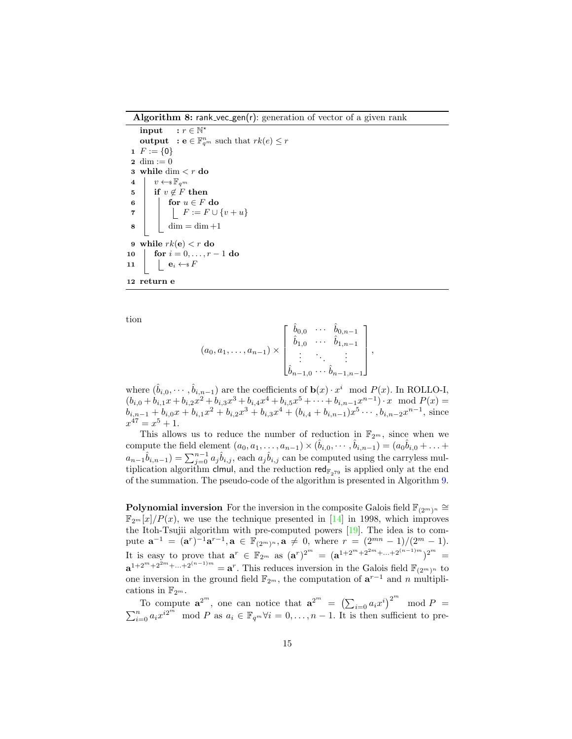Algorithm 8: rank\_vec\_gen(r): generation of vector of a given rank

input :  $r \in \mathbb{N}^*$ **output** :  $e \in \mathbb{F}_{q^m}^n$  such that  $rk(e) \leq r$ 1  $F := \{0\}$ 2 dim  $:= 0$ 3 while dim  $\langle r \rangle$  do 4  $v \leftarrow \mathbb{F}_{q^m}$ 5 if  $v \notin F$  then 6 | for  $u \in F$  do 7 F := F ∪ {v + u}  $8 \mid \cdot \cdot \cdot \cdot \cdot \cdot = \dim +1$ 9 while  $rk(e) < r$  do 10  $\int$  for  $i = 0, ..., r - 1$  do 11  $\vert \quad \vert \quad \mathbf{e}_i \leftarrow \mathbf{s} F$ 12 return e

tion

<span id="page-14-1"></span>
$$
(a_0, a_1, \ldots, a_{n-1}) \times \begin{bmatrix} \hat{b}_{0,0} & \cdots & \hat{b}_{0,n-1} \\ \hat{b}_{1,0} & \cdots & \hat{b}_{1,n-1} \\ \vdots & \ddots & \vdots \\ \hat{b}_{n-1,0} & \cdots & \hat{b}_{n-1,n-1} \end{bmatrix},
$$

where  $(\hat{b}_{i,0}, \cdots, \hat{b}_{i,n-1})$  are the coefficients of  $\mathbf{b}(x) \cdot x^i \mod P(x)$ . In ROLLO-I,  $(b_{i,0} + b_{i,1}x + b_{i,2}x^2 + b_{i,3}x^3 + b_{i,4}x^4 + b_{i,5}x^5 + \cdots + b_{i,n-1}x^{n-1}) \cdot x \mod P(x) =$  $b_{i,n-1} + b_{i,0}x + b_{i,1}x^2 + b_{i,2}x^3 + b_{i,3}x^4 + (b_{i,4} + b_{i,n-1})x^5 \cdots$ ,  $b_{i,n-2}x^{n-1}$ , since  $x^{47} = x^5 + 1.$ 

This allows us to reduce the number of reduction in  $\mathbb{F}_{2^m}$ , since when we compute the field element  $(a_0, a_1, \ldots, a_{n-1}) \times (b_{i,0}, \cdots, b_{i,n-1}) = (a_0, a_{i,0} + \ldots + a_{i,n-1})$ compute the field element  $(a_0, a_1, \ldots, a_{n-1}) \times (\hat{b}_{i,0}, \cdots, \hat{b}_{i,n-1}) = (a_0\hat{b}_{i,0} + \ldots + a_{n-1}\hat{b}_{i,n-1}) = \sum_{j=0}^{n-1} a_j\hat{b}_{i,j}$ , each  $a_j\hat{b}_{i,j}$  can be computed using the carryless multiplication algorithm clmul, and the reduction red $_{\mathbb{F}_{279}}$  is applied only at the end of the summation. The pseudo-code of the algorithm is presented in Algorithm [9.](#page-15-0)

<span id="page-14-0"></span>**Polynomial inversion** For the inversion in the composite Galois field  $\mathbb{F}_{(2^m)^n} \cong$  $\mathbb{F}_{2^m}[x]/P(x)$ , we use the technique presented in [\[14\]](#page-21-17) in 1998, which improves the Itoh-Tsujii algorithm with pre-computed powers [\[19\]](#page-21-18). The idea is to com pute  $\mathbf{a}^{-1} = (\mathbf{a}^r)^{-1} \mathbf{a}^{r-1}, \mathbf{a} \in \mathbb{F}_{(2^m)^n}, \mathbf{a} \neq 0$ , where  $r = (2^{mn} - 1)/(2^m - 1)$ . It is easy to prove that  $\mathbf{a}^r \in \mathbb{F}_{2^m}$  as  $(\mathbf{a}^r)^{2^m} = (\mathbf{a}^{1+2^m+2^{2m}+...+2^{(n-1)m}})^{2^m} =$  $\mathbf{a}^{1+2^m+2^{2m}+\dots+2^{(n-1)m}} = \mathbf{a}^r$ . This reduces inversion in the Galois field  $\mathbb{F}_{(2^m)^n}$  to one inversion in the ground field  $\mathbb{F}_{2^m}$ , the computation of  $\mathbf{a}^{r-1}$  and n multiplione inversion in the ground field  $\mathbb{F}_{2^m}$ , the computation of  $\mathbf{a}^{r-1}$  and *n* multiplications in  $\mathbb{F}_{2^m}$ .

To compute  $\mathbf{a}^{2^m}$ , one can notice that  $\mathbf{a}^{2^m} = (\sum_{i=0} a_i x^i)^{2^m} \mod P =$  $\sum_{i=0}^{n} a_i x^{i2^m} \mod P$  as  $a_i \in \mathbb{F}_{q^m} \forall i=0,\ldots,n-1$ . It is then sufficient to pre-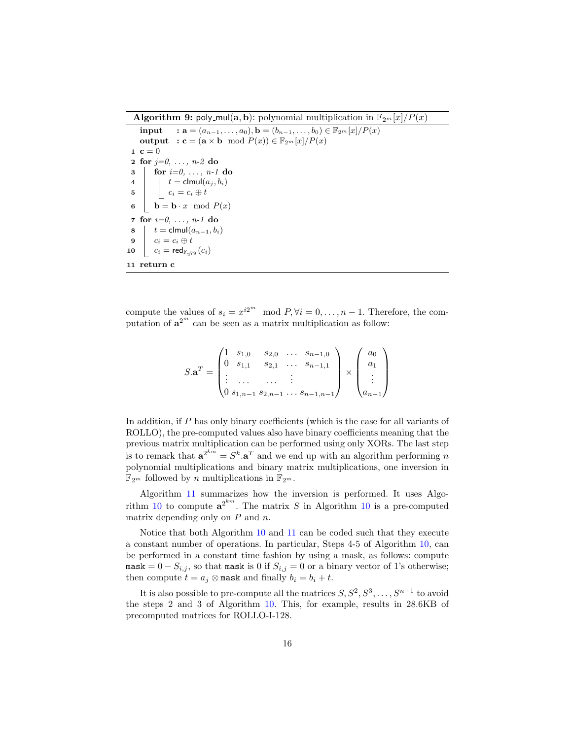**Algorithm 9:** poly\_mul(a, b): polynomial multiplication in  $\mathbb{F}_{2^m}[x]/P(x)$ 

```
input : \mathbf{a} = (a_{n-1}, \ldots, a_0), \mathbf{b} = (b_{n-1}, \ldots, b_0) \in \mathbb{F}_{2^m}[x]/P(x)output : c = (a \times b \mod P(x)) \in \mathbb{F}_{2^m}[x]/P(x)1 c = 02 for j=0, \ldots, n-2 do
 3 \mid \text{for } i=0, \ldots, n-1 \text{ do}4 \vert t = \text{clmul}(a_j, b_i)5 c_i = c_i \oplus t6 \mathbf{b} = \mathbf{b} \cdot x \mod P(x)7 for i=0, \ldots, n-1 do
 8 t = \text{clmul}(a_{n-1}, b_i)9 c_i = c_i \oplus t10 c_i = \text{red}_{\mathbb{F}_{2^{79}}}(c_i)11 return c
```
<span id="page-15-0"></span>compute the values of  $s_i = x^{i2^m} \mod P$ ,  $\forall i = 0, \ldots, n-1$ . Therefore, the computation of  $a^{2^m}$  can be seen as a matrix multiplication as follow:

$$
S.\mathbf{a}^{T} = \begin{pmatrix} 1 & s_{1,0} & s_{2,0} & \dots & s_{n-1,0} \\ 0 & s_{1,1} & s_{2,1} & \dots & s_{n-1,1} \\ \vdots & \dots & \dots & \vdots \\ 0 & s_{1,n-1} & s_{2,n-1} & \dots & s_{n-1,n-1} \end{pmatrix} \times \begin{pmatrix} a_{0} \\ a_{1} \\ \vdots \\ a_{n-1} \end{pmatrix}
$$

In addition, if P has only binary coefficients (which is the case for all variants of ROLLO), the pre-computed values also have binary coefficients meaning that the previous matrix multiplication can be performed using only XORs. The last step is to remark that  $\mathbf{a}^{2^{km}} = S^k \cdot \mathbf{a}^T$  and we end up with an algorithm performing n polynomial multiplications and binary matrix multiplications, one inversion in  $\mathbb{F}_{2^m}$  followed by  $n$  multiplications in  $\mathbb{F}_{2^m}.$ 

Algorithm [11](#page-16-1) summarizes how the inversion is performed. It uses Algo- rithm [10](#page-16-2) to compute  $a^{2^{km}}$ . The matrix S in Algorithm 10 is a pre-computed matrix depending only on  $P$  and  $n$ .

Notice that both Algorithm [10](#page-16-2) and [11](#page-16-1) can be coded such that they execute a constant number of operations. In particular, Steps 4-5 of Algorithm [10,](#page-16-2) can be performed in a constant time fashion by using a mask, as follows: compute mask =  $0 - S_{i,j}$ , so that mask is 0 if  $S_{i,j} = 0$  or a binary vector of 1's otherwise; then compute  $t = a_i \otimes \text{mask}$  and finally  $b_i = b_i + t$ .

It is also possible to pre-compute all the matrices  $S, S^2, S^3, \ldots, S^{n-1}$  to avoid the steps 2 and 3 of Algorithm [10.](#page-16-2) This, for example, results in 28.6KB of precomputed matrices for ROLLO-I-128.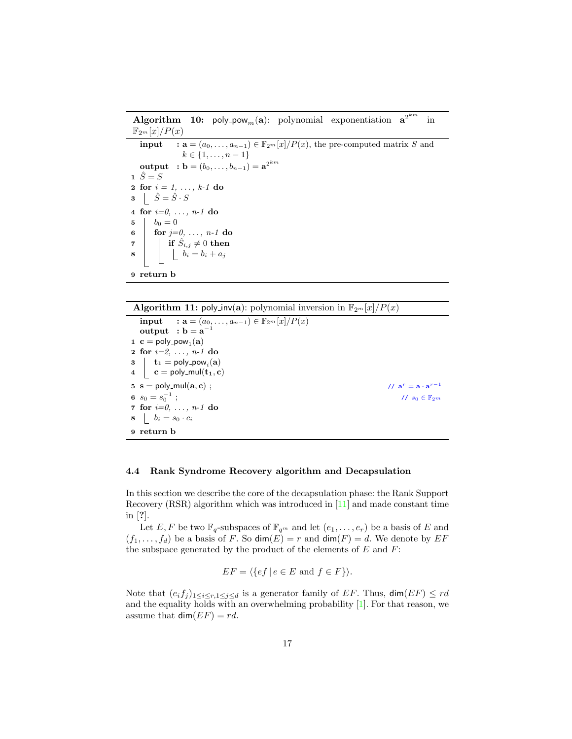**Algorithm 10:** poly pow<sub>m</sub>(a): polynomial exponentiation  $a^{2^{km}}$  in  $\mathbb{F}_{2^m}[x]/P(x)$ **input** :  $\mathbf{a} = (a_0, \ldots, a_{n-1}) \in \mathbb{F}_{2^m}[x]/P(x)$ , the pre-computed matrix S and  $k \in \{1, \ldots, n-1\}$  $\textbf{output} \hspace{3mm} \textbf{: b} = (b_0, \ldots, b_{n-1}) = \textbf{a}^{2^{km}}$  $\hat{S} = S$ 2 for  $i = 1, ..., k-1$  do  $\mathbf{3} \quad | \quad \hat{S} = \hat{S} \cdot S$ 4 for  $i=0, \ldots, n-1$  do 5  $b_0 = 0$ 6 for  $j=0, \ldots, n-1$  do  $\begin{array}{cc} \texttt{7} & \end{array} \begin{array}{c} \end{array} \begin{array}{c} \texttt{if} \,\,\hat{S}_{i,j} \neq 0 \text{ then} \end{array}$  $\begin{array}{c|c|c|c} \mathbf{8} & \quad b_i = b_i + a_j \end{array}$ 9 return b

<span id="page-16-2"></span>

| <b>Algorithm 11:</b> poly_inv(a): polynomial inversion in $\mathbb{F}_{2^m}[x]/P(x)$ |                                                                                                                                                                         |                                                       |  |  |  |  |  |
|--------------------------------------------------------------------------------------|-------------------------------------------------------------------------------------------------------------------------------------------------------------------------|-------------------------------------------------------|--|--|--|--|--|
|                                                                                      | <b>input</b> : $a = (a_0, , a_{n-1}) \in \mathbb{F}_{2^m}[x]/P(x)$<br>output : $b = a^{-1}$                                                                             |                                                       |  |  |  |  |  |
| 1 $c = poly_{p}ow_{1}(a)$                                                            |                                                                                                                                                                         |                                                       |  |  |  |  |  |
|                                                                                      | <b>2</b> for $i=2, \ldots, n-1$ do                                                                                                                                      |                                                       |  |  |  |  |  |
|                                                                                      | $\begin{array}{c c} \texttt{3} & \texttt{t}_1 = \texttt{poly\_pow}_i(\texttt{a}) \\ \texttt{4} & \texttt{c} = \texttt{poly\_mul}(\texttt{t}_1, \texttt{c}) \end{array}$ |                                                       |  |  |  |  |  |
|                                                                                      | $5 s = \text{poly-mul}(a, c)$ ;                                                                                                                                         | // $\mathbf{a}^r = \mathbf{a} \cdot \mathbf{a}^{r-1}$ |  |  |  |  |  |
| 6 $s_0 = s_0^{-1}$ ;                                                                 |                                                                                                                                                                         | // $s_0 \in \mathbb{F}$ <sub>2</sub> m                |  |  |  |  |  |
|                                                                                      | 7 for $i=0, \ldots, n-1$ do                                                                                                                                             |                                                       |  |  |  |  |  |
| $8 \mid b_i = s_0 \cdot c_i$                                                         |                                                                                                                                                                         |                                                       |  |  |  |  |  |
| 9 return b                                                                           |                                                                                                                                                                         |                                                       |  |  |  |  |  |

#### <span id="page-16-1"></span><span id="page-16-0"></span>4.4 Rank Syndrome Recovery algorithm and Decapsulation

In this section we describe the core of the decapsulation phase: the Rank Support Recovery (RSR) algorithm which was introduced in [\[11\]](#page-20-7) and made constant time in [?].

Let E, F be two  $\mathbb{F}_q$ -subspaces of  $\mathbb{F}_{q^m}$  and let  $(e_1, \ldots, e_r)$  be a basis of E and  $(f_1, \ldots, f_d)$  be a basis of F. So dim(E) = r and dim(F) = d. We denote by EF the subspace generated by the product of the elements of  $E$  and  $F$ :

$$
EF = \langle \{ef \mid e \in E \text{ and } f \in F \} \rangle.
$$

Note that  $(e_i f_j)_{1 \leq i \leq r, 1 \leq j \leq d}$  is a generator family of EF. Thus,  $\dim(EF) \leq rd$ and the equality holds with an overwhelming probability [\[1\]](#page-20-5). For that reason, we assume that  $\dim(EF) = rd$ .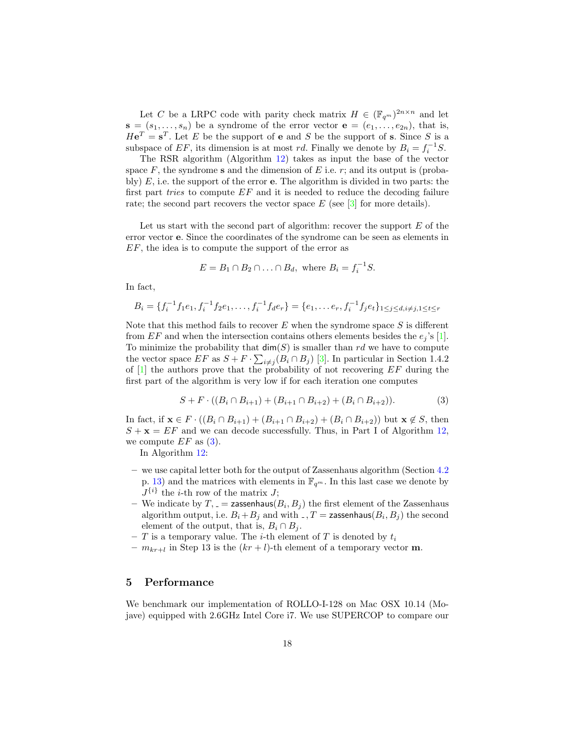Let C be a LRPC code with parity check matrix  $H \in (\mathbb{F}_{q^m})^{2n \times n}$  and let  $\mathbf{s} = (s_1, \ldots, s_n)$  be a syndrome of the error vector  $\mathbf{e} = (e_1, \ldots, e_{2n})$ , that is,  $H\mathbf{e}^T = \mathbf{s}^T$ . Let E be the support of **e** and S be the support of **s**. Since S is a subspace of EF, its dimension is at most rd. Finally we denote by  $B_i = f_i^{-1}S$ .

The RSR algorithm (Algorithm [12\)](#page-18-0) takes as input the base of the vector space  $F$ , the syndrome s and the dimension of  $E$  i.e.  $r$ ; and its output is (probably)  $E$ , i.e. the support of the error **e**. The algorithm is divided in two parts: the first part *tries* to compute  $EF$  and it is needed to reduce the decoding failure rate; the second part recovers the vector space  $E$  (see [\[3\]](#page-20-11) for more details).

Let us start with the second part of algorithm: recover the support  $E$  of the error vector e. Since the coordinates of the syndrome can be seen as elements in EF, the idea is to compute the support of the error as

$$
E = B_1 \cap B_2 \cap \ldots \cap B_d, \text{ where } B_i = f_i^{-1}S.
$$

In fact,

$$
B_i = \{f_i^{-1}f_1e_1, f_i^{-1}f_2e_1, \dots, f_i^{-1}f_de_r\} = \{e_1, \dots e_r, f_i^{-1}f_je_t\}_{1 \leq j \leq d, i \neq j, 1 \leq t \leq r}
$$

Note that this method fails to recover  $E$  when the syndrome space  $S$  is different from EF and when the intersection contains others elements besides the  $e_i$ 's [\[1\]](#page-20-5). To minimize the probability that  $\dim(S)$  is smaller than rd we have to compute the vector space  $EF$  as  $S + F \cdot \sum_{i \neq j} (B_i \cap B_j)$  [\[3\]](#page-20-11). In particular in Section 1.4.2 of  $[1]$  the authors prove that the probability of not recovering  $EF$  during the first part of the algorithm is very low if for each iteration one computes

<span id="page-17-1"></span>
$$
S + F \cdot ((B_i \cap B_{i+1}) + (B_{i+1} \cap B_{i+2}) + (B_i \cap B_{i+2})).
$$
 (3)

In fact, if  $\mathbf{x} \in F \cdot ((B_i \cap B_{i+1}) + (B_{i+1} \cap B_{i+2}) + (B_i \cap B_{i+2}))$  but  $\mathbf{x} \notin S$ , then  $S + \mathbf{x} = EF$  and we can decode successfully. Thus, in Part I of Algorithm [12,](#page-18-0) we compute  $EF$  as  $(3)$ .

In Algorithm [12:](#page-18-0)

- we use capital letter both for the output of Zassenhaus algorithm (Section [4.2](#page-11-0) p. [13\)](#page-12-0) and the matrices with elements in  $\mathbb{F}_{q^m}$ . In this last case we denote by  $J^{\{i\}}$  the *i*-th row of the matrix J;
- We indicate by  $T, z = \text{zassenhaus}(B_i, B_j)$  the first element of the Zassenhaus algorithm output, i.e.  $B_i+B_j$  and with  $\Box$ ,  $T =$  zassenhaus $(B_i, B_j)$  the second element of the output, that is,  $B_i \cap B_j$ .
- T is a temporary value. The *i*-th element of T is denoted by  $t_i$
- $-m_{kr+l}$  in Step 13 is the  $(kr+l)$ -th element of a temporary vector **m**.

## <span id="page-17-0"></span>5 Performance

We benchmark our implementation of ROLLO-I-128 on Mac OSX 10.14 (Mojave) equipped with 2.6GHz Intel Core i7. We use SUPERCOP to compare our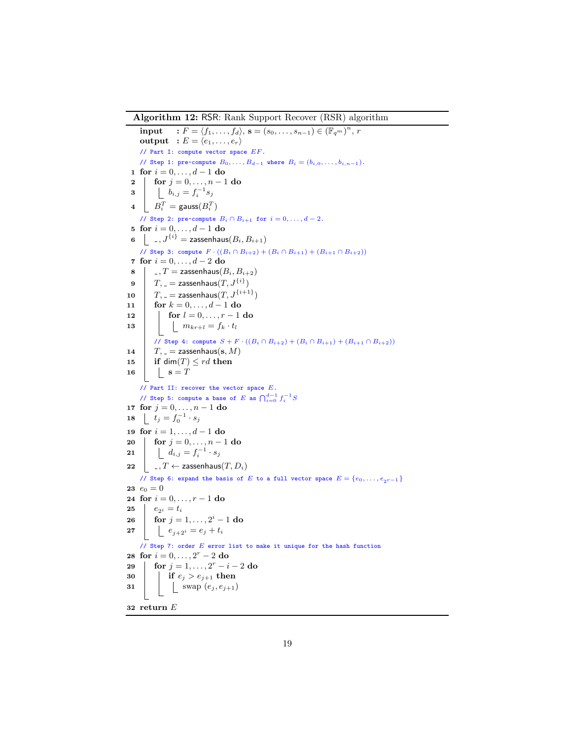Algorithm 12: RSR: Rank Support Recover (RSR) algorithm

```
5 for i = 0, ..., d - 1 do
10
15
20
25
30
     input : F = \langle f_1, \ldots, f_d \rangle, s = (s_0, \ldots, s_{n-1}) \in (\mathbb{F}_{q^m})^n, routput : E = \langle e_1, \ldots, e_r \rangle// Part I: compute vector space EF .
    // Step 1: pre-compute B_0, ..., B_{d-1} where B_i = (b_{i,0}, ..., b_{i,n-1}).
 1 for i = 0, ..., d - 1 do
 2 | for j = 0, ..., n - 1 do
 \begin{array}{c|c} \n\bullet & \bullet & \bullet \\ \n\bullet & \bullet & \bullet \\ \n\end{array} \begin{array}{c} \n\bullet & \bullet & \bullet \\ \n\bullet & \bullet & \bullet \\ \n\bullet & \bullet & \bullet \n\end{array}4\quad \Big|\quad B_i^T=\text{\rm gauss}(B_i^T)// Step 2: pre-compute B_i \cap B_{i+1} for i = 0, \ldots, d - 2.
 6 , J^{\{i\}} = zassenhaus(B_i, B_{i+1})// Step 3: compute F \cdot ((B_i \cap B_{i+2}) + (B_i \cap B_{i+1}) + (B_{i+1} \cap B_{i+2}))7 for i = 0, ..., d - 2 do
 \mathbf{8} , T = \mathsf{z} assenhaus(B_i, B_{i+2})9 T, z = zassenhaus(T, J^{\{i\}})T_{1} = zassenhaus(T, J^{\{i+1\}})11 \vert for k = 0, ..., d - 1 do
12 | for l = 0, ..., r - 1 do
13 \mid \mid m_{kr+l} = f_k \cdot t_l// Step 4: compute S + F · ((Bi ∩ Bi+2) + (Bi ∩ Bi+1) + (Bi+1 ∩ Bi+2))
14 T_{1} = zassenhaus(s, M)
          if dim(T) \leq rd then
16 | \vert \vert s = T// Part II: recover the vector space E.
     // Step 5: compute a base of E as \bigcap_{i=0}^{d-1} f_i^{-1} S17 for j = 0, \ldots, n - 1 do
18 \mid t_j = f_0^{-1} \cdot s_j19 for i = 1, ..., d - 1 do
         for j = 0, ..., n - 1 do
21 \begin{array}{|c|c|} \hline \end{array} \begin{array}{|c|c|} \hline \end{array} d_{i,j} = f_i^{-1} \cdot s_j22 , T \leftarrow zassenhaus(T, D_i)// Step 6: expand the basis of E to a full vector space E = \{e_0, \ldots, e_{2r-1}\}\23 e_0 = 024 for i = 0, ..., r - 1 do
        e_{2i} = t_i26 \int for j = 1, ..., 2^i - 1 do
27 e_{j+2} = e_j + t_i// Step 7: order E error list to make it unique for the hash function
28 for i = 0, \ldots, 2^{r} - 2 do
29 for j = 1, ..., 2^r - i - 2 do
              if e_j > e_{j+1} then
31 | | \sup(e_j, e_{j+1})32 return E
```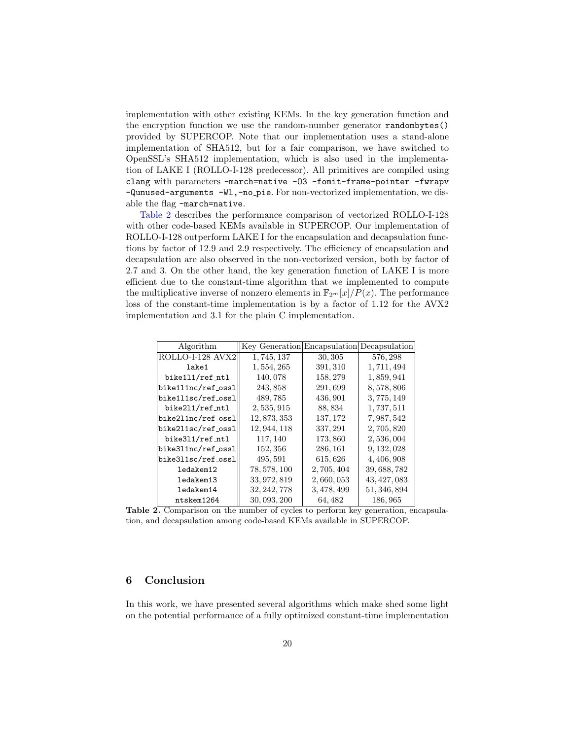implementation with other existing KEMs. In the key generation function and the encryption function we use the random-number generator randombytes() provided by SUPERCOP. Note that our implementation uses a stand-alone implementation of SHA512, but for a fair comparison, we have switched to OpenSSL's SHA512 implementation, which is also used in the implementation of LAKE I (ROLLO-I-128 predecessor). All primitives are compiled using clang with parameters -march=native -O3 -fomit-frame-pointer -fwrapv -Qunused-arguments -Wl,-no pie. For non-vectorized implementation, we disable the flag -march=native.

[Table](#page-19-1) 2 describes the performance comparison of vectorized ROLLO-I-128 with other code-based KEMs available in SUPERCOP. Our implementation of ROLLO-I-128 outperform LAKE I for the encapsulation and decapsulation functions by factor of 12.9 and 2.9 respectively. The efficiency of encapsulation and decapsulation are also observed in the non-vectorized version, both by factor of 2.7 and 3. On the other hand, the key generation function of LAKE I is more efficient due to the constant-time algorithm that we implemented to compute the multiplicative inverse of nonzero elements in  $\mathbb{F}_{2^m}[x]/P(x)$ . The performance loss of the constant-time implementation is by a factor of 1.12 for the AVX2 implementation and 3.1 for the plain C implementation.

<span id="page-19-1"></span>

| Algorithm          | Key Generation Encapsulation Decapsulation |             |              |
|--------------------|--------------------------------------------|-------------|--------------|
| ROLLO-I-128 AVX2   | 1,745,137                                  | 30, 305     | 576, 298     |
| lake1              | 1, 554, 265                                | 391, 310    | 1,711,494    |
| bike111/ref_ntl    | 140,078                                    | 158, 279    | 1,859,941    |
| bike111nc/ref_ossl | 243,858                                    | 291,699     | 8,578,806    |
| bike111sc/ref_ossl | 489,785                                    | 436, 901    | 3,775,149    |
| bike211/ref_ntl    | 2, 535, 915                                | 88, 834     | 1,737,511    |
| bike2l1nc/ref_ossl | 12, 873, 353                               | 137, 172    | 7, 987, 542  |
| bike2l1sc/ref_ossl | 12, 944, 118                               | 337, 291    | 2,705,820    |
| bike311/ref_ntl    | 117, 140                                   | 173,860     | 2,536,004    |
| bike3l1nc/ref_ossl | 152, 356                                   | 286, 161    | 9, 132, 028  |
| bike3l1sc/ref_ossl | 495, 591                                   | 615, 626    | 4, 406, 908  |
| ledakem12          | 78, 578, 100                               | 2,705,404   | 39, 688, 782 |
| ledakem13          | 33, 972, 819                               | 2,660,053   | 43, 427, 083 |
| ledakem14          | 32, 242, 778                               | 3, 478, 499 | 51, 346, 894 |
| ntskem1264         | 30, 093, 200                               | 64, 482     | 186, 965     |

Table 2. Comparison on the number of cycles to perform key generation, encapsulation, and decapsulation among code-based KEMs available in SUPERCOP.

## <span id="page-19-0"></span>6 Conclusion

In this work, we have presented several algorithms which make shed some light on the potential performance of a fully optimized constant-time implementation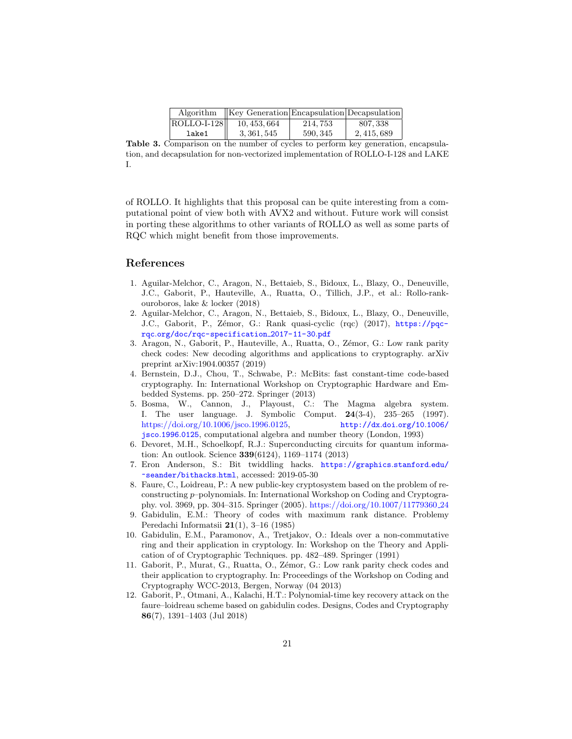| Algorithm   | $\vert$ Key Generation Encapsulation Decapsulation |          |           |
|-------------|----------------------------------------------------|----------|-----------|
| ROLLO-I-128 | 10, 453, 664                                       | 214.753  | 807, 338  |
| lake1       | 3, 361, 545                                        | 590, 345 | 2.415.689 |

Table 3. Comparison on the number of cycles to perform key generation, encapsulation, and decapsulation for non-vectorized implementation of ROLLO-I-128 and LAKE I.

of ROLLO. It highlights that this proposal can be quite interesting from a computational point of view both with AVX2 and without. Future work will consist in porting these algorithms to other variants of ROLLO as well as some parts of RQC which might benefit from those improvements.

#### References

- <span id="page-20-5"></span>1. Aguilar-Melchor, C., Aragon, N., Bettaieb, S., Bidoux, L., Blazy, O., Deneuville, J.C., Gaborit, P., Hauteville, A., Ruatta, O., Tillich, J.P., et al.: Rollo-rankouroboros, lake & locker (2018)
- <span id="page-20-6"></span>2. Aguilar-Melchor, C., Aragon, N., Bettaieb, S., Bidoux, L., Blazy, O., Deneuville, J.C., Gaborit, P., Zémor, G.: Rank quasi-cyclic (rqc) (2017), [https://pqc](https://pqc-rqc.org/doc/rqc-specification_2017-11-30.pdf)rqc.[org/doc/rqc-specification](https://pqc-rqc.org/doc/rqc-specification_2017-11-30.pdf) 2017-11-30.pdf
- <span id="page-20-11"></span>3. Aragon, N., Gaborit, P., Hauteville, A., Ruatta, O., Zémor, G.: Low rank parity check codes: New decoding algorithms and applications to cryptography. arXiv preprint arXiv:1904.00357 (2019)
- <span id="page-20-10"></span>4. Bernstein, D.J., Chou, T., Schwabe, P.: McBits: fast constant-time code-based cryptography. In: International Workshop on Cryptographic Hardware and Embedded Systems. pp. 250–272. Springer (2013)
- <span id="page-20-8"></span>5. Bosma, W., Cannon, J., Playoust, C.: The Magma algebra system. I. The user language. J. Symbolic Comput. 24(3-4), 235–265 (1997). [https://doi.org/10.1006/jsco.1996.0125,](https://doi.org/10.1006/jsco.1996.0125) [http://dx](http://dx.doi.org/10.1006/jsco.1996.0125).doi.org/10.1006/ jsco.1996.[0125](http://dx.doi.org/10.1006/jsco.1996.0125), computational algebra and number theory (London, 1993)
- <span id="page-20-0"></span>6. Devoret, M.H., Schoelkopf, R.J.: Superconducting circuits for quantum information: An outlook. Science 339(6124), 1169–1174 (2013)
- <span id="page-20-9"></span>7. Eron Anderson, S.: Bit twiddling hacks. [https://graphics](https://graphics.stanford.edu/~seander/bithacks.html).stanford.edu/ [~seander/bithacks](https://graphics.stanford.edu/~seander/bithacks.html).html, accessed: 2019-05-30
- <span id="page-20-3"></span>8. Faure, C., Loidreau, P.: A new public-key cryptosystem based on the problem of reconstructing p–polynomials. In: International Workshop on Coding and Cryptography. vol. 3969, pp. 304–315. Springer (2005). [https://doi.org/10.1007/11779360](https://doi.org/10.1007/11779360_24) 24
- <span id="page-20-1"></span>9. Gabidulin, E.M.: Theory of codes with maximum rank distance. Problemy Peredachi Informatsii 21(1), 3–16 (1985)
- <span id="page-20-2"></span>10. Gabidulin, E.M., Paramonov, A., Tretjakov, O.: Ideals over a non-commutative ring and their application in cryptology. In: Workshop on the Theory and Application of of Cryptographic Techniques. pp. 482–489. Springer (1991)
- <span id="page-20-7"></span>11. Gaborit, P., Murat, G., Ruatta, O., Zémor, G.: Low rank parity check codes and their application to cryptography. In: Proceedings of the Workshop on Coding and Cryptography WCC-2013, Bergen, Norway (04 2013)
- <span id="page-20-4"></span>12. Gaborit, P., Otmani, A., Kalachi, H.T.: Polynomial-time key recovery attack on the faure–loidreau scheme based on gabidulin codes. Designs, Codes and Cryptography 86(7), 1391–1403 (Jul 2018)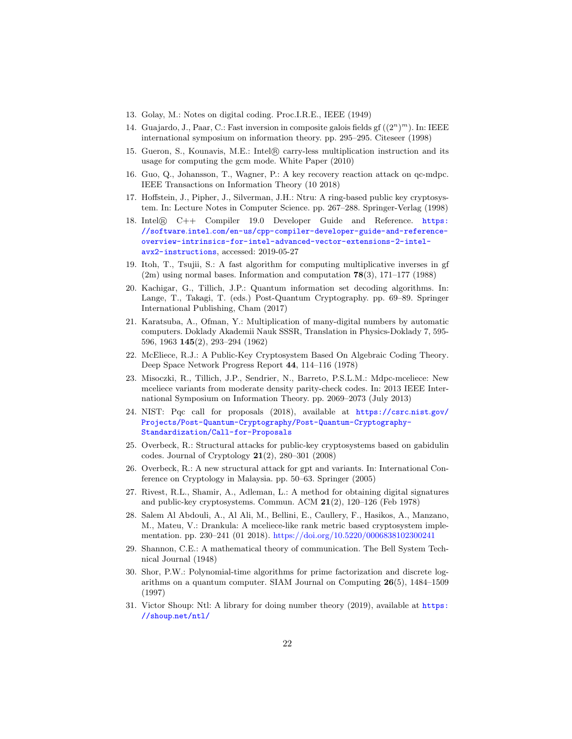- <span id="page-21-1"></span>13. Golay, M.: Notes on digital coding. Proc.I.R.E., IEEE (1949)
- <span id="page-21-17"></span>14. Guajardo, J., Paar, C.: Fast inversion in composite galois fields gf  $((2^n)^m)$ . In: IEEE international symposium on information theory. pp. 295–295. Citeseer (1998)
- <span id="page-21-15"></span>15. Gueron, S., Kounavis, M.E.: Intel <sup>R</sup> carry-less multiplication instruction and its usage for computing the gcm mode. White Paper (2010)
- <span id="page-21-8"></span>16. Guo, Q., Johansson, T., Wagner, P.: A key recovery reaction attack on qc-mdpc. IEEE Transactions on Information Theory (10 2018)
- <span id="page-21-11"></span>17. Hoffstein, J., Pipher, J., Silverman, J.H.: Ntru: A ring-based public key cryptosystem. In: Lecture Notes in Computer Science. pp. 267–288. Springer-Verlag (1998)
- <span id="page-21-14"></span>18. Intel <sup>R</sup> C++ Compiler 19.0 Developer Guide and Reference. [https:](https://software.intel.com/en-us/cpp-compiler-developer-guide-and-reference-overview-intrinsics-for-intel-advanced-vector-extensions-2-intel-avx2-instructions) //software.intel.[com/en-us/cpp-compiler-developer-guide-and-reference](https://software.intel.com/en-us/cpp-compiler-developer-guide-and-reference-overview-intrinsics-for-intel-advanced-vector-extensions-2-intel-avx2-instructions)[overview-intrinsics-for-intel-advanced-vector-extensions-2-intel](https://software.intel.com/en-us/cpp-compiler-developer-guide-and-reference-overview-intrinsics-for-intel-advanced-vector-extensions-2-intel-avx2-instructions)[avx2-instructions](https://software.intel.com/en-us/cpp-compiler-developer-guide-and-reference-overview-intrinsics-for-intel-advanced-vector-extensions-2-intel-avx2-instructions), accessed: 2019-05-27
- <span id="page-21-18"></span>19. Itoh, T., Tsujii, S.: A fast algorithm for computing multiplicative inverses in gf  $(2m)$  using normal bases. Information and computation 78 $(3)$ , 171–177  $(1988)$
- <span id="page-21-5"></span>20. Kachigar, G., Tillich, J.P.: Quantum information set decoding algorithms. In: Lange, T., Takagi, T. (eds.) Post-Quantum Cryptography. pp. 69–89. Springer International Publishing, Cham (2017)
- <span id="page-21-12"></span>21. Karatsuba, A., Ofman, Y.: Multiplication of many-digital numbers by automatic computers. Doklady Akademii Nauk SSSR, Translation in Physics-Doklady 7, 595- 596, 1963 145(2), 293–294 (1962)
- <span id="page-21-2"></span>22. McEliece, R.J.: A Public-Key Cryptosystem Based On Algebraic Coding Theory. Deep Space Network Progress Report 44, 114–116 (1978)
- <span id="page-21-7"></span>23. Misoczki, R., Tillich, J.P., Sendrier, N., Barreto, P.S.L.M.: Mdpc-mceliece: New mceliece variants from moderate density parity-check codes. In: 2013 IEEE International Symposium on Information Theory. pp. 2069–2073 (July 2013)
- <span id="page-21-6"></span>24. NIST: Pqc call for proposals (2018), available at [https://csrc](https://csrc.nist.gov/Projects/Post-Quantum-Cryptography/Post-Quantum-Cryptography-Standardization/Call-for-Proposals).nist.gov/ [Projects/Post-Quantum-Cryptography/Post-Quantum-Cryptography-](https://csrc.nist.gov/Projects/Post-Quantum-Cryptography/Post-Quantum-Cryptography-Standardization/Call-for-Proposals)[Standardization/Call-for-Proposals](https://csrc.nist.gov/Projects/Post-Quantum-Cryptography/Post-Quantum-Cryptography-Standardization/Call-for-Proposals)
- <span id="page-21-10"></span>25. Overbeck, R.: Structural attacks for public-key cryptosystems based on gabidulin codes. Journal of Cryptology  $21(2)$ , 280–301 (2008)
- <span id="page-21-9"></span>26. Overbeck, R.: A new structural attack for gpt and variants. In: International Conference on Cryptology in Malaysia. pp. 50–63. Springer (2005)
- <span id="page-21-3"></span>27. Rivest, R.L., Shamir, A., Adleman, L.: A method for obtaining digital signatures and public-key cryptosystems. Commun. ACM 21(2), 120–126 (Feb 1978)
- <span id="page-21-16"></span>28. Salem Al Abdouli, A., Al Ali, M., Bellini, E., Caullery, F., Hasikos, A., Manzano, M., Mateu, V.: Drankula: A mceliece-like rank metric based cryptosystem implementation. pp. 230–241 (01 2018). <https://doi.org/10.5220/0006838102300241>
- <span id="page-21-0"></span>29. Shannon, C.E.: A mathematical theory of communication. The Bell System Technical Journal (1948)
- <span id="page-21-4"></span>30. Shor, P.W.: Polynomial-time algorithms for prime factorization and discrete logarithms on a quantum computer. SIAM Journal on Computing 26(5), 1484–1509 (1997)
- <span id="page-21-13"></span>31. Victor Shoup: Ntl: A library for doing number theory (2019), available at [https:](https://shoup.net/ntl/) //shoup.[net/ntl/](https://shoup.net/ntl/)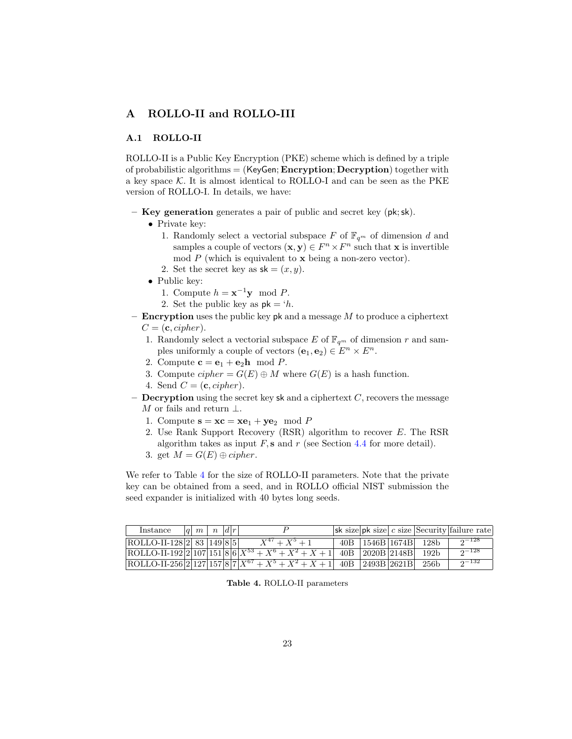## <span id="page-22-0"></span>A ROLLO-II and ROLLO-III

## <span id="page-22-1"></span>A.1 ROLLO-II

ROLLO-II is a Public Key Encryption (PKE) scheme which is defined by a triple of probabilistic algorithms  $=$  (KeyGen; Encryption; Decryption) together with a key space  $K$ . It is almost identical to ROLLO-I and can be seen as the PKE version of ROLLO-I. In details, we have:

- Key generation generates a pair of public and secret key (pk;sk).
	- Private key:
		- 1. Randomly select a vectorial subspace F of  $\mathbb{F}_{q^m}$  of dimension d and samples a couple of vectors  $(\mathbf{x}, \mathbf{y}) \in F^n \times F^n$  such that **x** is invertible mod  $P$  (which is equivalent to  $\bf{x}$  being a non-zero vector).
		- 2. Set the secret key as  $sk = (x, y)$ .
	- Public key:
		- 1. Compute  $h = \mathbf{x}^{-1} \mathbf{y} \mod P$ .
		- 2. Set the public key as  $pk = 'h$ .
- **Encryption** uses the public key  $pk$  and a message  $M$  to produce a ciphertext  $C = (c, cipher).$ 
	- 1. Randomly select a vectorial subspace E of  $\mathbb{F}_{q^m}$  of dimension r and samples uniformly a couple of vectors  $(e_1, e_2) \in E^n \times E^n$ .
	- 2. Compute  $\mathbf{c} = \mathbf{e}_1 + \mathbf{e}_2 \mathbf{h} \mod P$ .
	- 3. Compute  $cipher = G(E) \oplus M$  where  $G(E)$  is a hash function.
	- 4. Send  $C = (c, cipher)$ .
- **Decryption** using the secret key sk and a ciphertext  $C$ , recovers the message M or fails and return  $\perp$ .
	- 1. Compute  $\mathbf{s} = \mathbf{xc} = \mathbf{xe}_1 + \mathbf{ye}_2 \mod P$
	- 2. Use Rank Support Recovery (RSR) algorithm to recover E. The RSR algorithm takes as input  $F$ , s and r (see Section [4.4](#page-16-0) for more detail).
	- 3. get  $M = G(E) \oplus cipher$ .

We refer to Table [4](#page-22-2) for the size of ROLLO-II parameters. Note that the private key can be obtained from a seed, and in ROLLO official NIST submission the seed expander is initialized with 40 bytes long seeds.

<span id="page-22-2"></span>

| Instance                                  | $ q $ $m$ $ n $ $ d r $ |  |                                                                                  |  |                            | sk size $ pk  size   c  size$ Security failure rate |
|-------------------------------------------|-------------------------|--|----------------------------------------------------------------------------------|--|----------------------------|-----------------------------------------------------|
| $\vert$ ROLLO-II-128 $\vert$ 2 83 149 8 5 |                         |  | $X^{47} + X^5 + 1$                                                               |  | 40B   1546B   1674B   128b | $2^{-128}$                                          |
|                                           |                         |  | ROLLO-II-192 2 107 151 8 6  $X^{53} + X^6 + X^2 + X + 1$   40B 2020B 2148B  192b |  |                            | $2^{-128}$                                          |
|                                           |                         |  | ROLLO-II-256 2 127 157 8 7 $X^{67} + X^5 + X^2 + X + 1$ 40B 2493B 2621B 256b     |  |                            | $2^{-132}$                                          |

Table 4. ROLLO-II parameters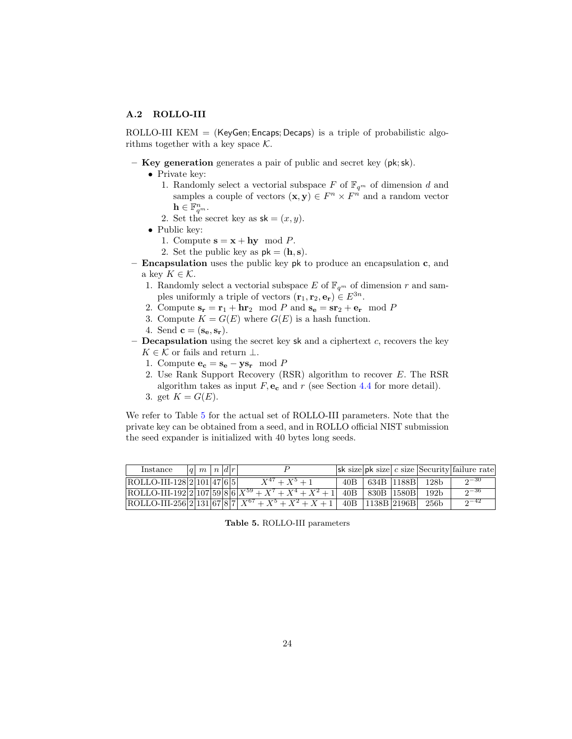### <span id="page-23-0"></span>A.2 ROLLO-III

ROLLO-III KEM  $=$  (KeyGen; Encaps; Decaps) is a triple of probabilistic algorithms together with a key space  $K$ .

- Key generation generates a pair of public and secret key (pk;sk).
	- Private key:
		- 1. Randomly select a vectorial subspace F of  $\mathbb{F}_{q^m}$  of dimension d and samples a couple of vectors  $(\mathbf{x}, \mathbf{y}) \in F^n \times F^n$  and a random vector  $\mathbf{h} \in \mathbb{F}_{q^m}^n$ .
		- 2. Set the secret key as  $sk = (x, y)$ .
	- Public key:
		- 1. Compute  $\mathbf{s} = \mathbf{x} + \mathbf{h}\mathbf{y} \mod P$ .
		- 2. Set the public key as  $pk = (h, s)$ .
- $-$  **Encapsulation** uses the public key pk to produce an encapsulation c, and a key  $K \in \mathcal{K}$ .
	- 1. Randomly select a vectorial subspace E of  $\mathbb{F}_{q^m}$  of dimension r and samples uniformly a triple of vectors  $(\mathbf{r}_1, \mathbf{r}_2, \mathbf{e}_r) \in E^{3n}$ .
	- 2. Compute  $\mathbf{s_r} = \mathbf{r_1} + \mathbf{hr_2} \mod P$  and  $\mathbf{s_e} = \mathbf{sr_2} + \mathbf{e_r} \mod P$
	- 3. Compute  $K = G(E)$  where  $G(E)$  is a hash function.
	- 4. Send  $\mathbf{c} = (\mathbf{s_e}, \mathbf{s_r}).$
- **Decapsulation** using the secret key sk and a ciphertext  $c$ , recovers the key  $K \in \mathcal{K}$  or fails and return  $\perp$ .
	- 1. Compute  $\mathbf{e_c} = \mathbf{s_e} \mathbf{y} \mathbf{s_r} \mod P$
	- 2. Use Rank Support Recovery (RSR) algorithm to recover E. The RSR algorithm takes as input  $F$ ,  $e_c$  and  $r$  (see Section [4.4](#page-16-0) for more detail).
	- 3. get  $K = G(E)$ .

We refer to Table [5](#page-23-1) for the actual set of ROLLO-III parameters. Note that the private key can be obtained from a seed, and in ROLLO official NIST submission the seed expander is initialized with 40 bytes long seeds.

<span id="page-23-1"></span>

| Instance                       | $ q $ m $ n $ $d r $ |  |                                                           |     |                       |                  | $ \mathsf{sk}\text{ size} $ pk size $ c\text{ size} $ Security failure rate |
|--------------------------------|----------------------|--|-----------------------------------------------------------|-----|-----------------------|------------------|-----------------------------------------------------------------------------|
| $ ROLLO-III-128 2 101 47 6 5 $ |                      |  | $X^{47} + X^5 + 1$                                        | 40B | 634B  1188B           | - 128b           | $2 - 30$                                                                    |
|                                |                      |  | ROLLO-III-192 2 107 59 8 6 $X^{59} + X^7 + X^4 + X^2 + 1$ | 40B | 830B   1580B          | 192 <sub>b</sub> | $n - 36$                                                                    |
|                                |                      |  | ROLLO-III-256 2 131 67 8 7 $X^{67} + X^5 + X^2 + X + 1$   |     | $ 40B $  1138B  2196B | 256 <sub>b</sub> | $0 - 42$                                                                    |

Table 5. ROLLO-III parameters